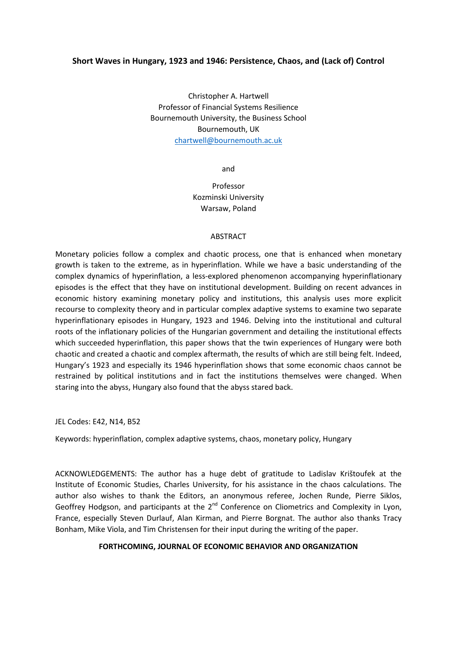### **Short Waves in Hungary, 1923 and 1946: Persistence, Chaos, and (Lack of) Control**

Christopher A. Hartwell Professor of Financial Systems Resilience Bournemouth University, the Business School Bournemouth, UK [chartwell@bournemouth.ac.uk](mailto:chartwell@bournemouth.ac.uk)

and

# Professor Kozminski University Warsaw, Poland

### ABSTRACT

Monetary policies follow a complex and chaotic process, one that is enhanced when monetary growth is taken to the extreme, as in hyperinflation. While we have a basic understanding of the complex dynamics of hyperinflation, a less-explored phenomenon accompanying hyperinflationary episodes is the effect that they have on institutional development. Building on recent advances in economic history examining monetary policy and institutions, this analysis uses more explicit recourse to complexity theory and in particular complex adaptive systems to examine two separate hyperinflationary episodes in Hungary, 1923 and 1946. Delving into the institutional and cultural roots of the inflationary policies of the Hungarian government and detailing the institutional effects which succeeded hyperinflation, this paper shows that the twin experiences of Hungary were both chaotic and created a chaotic and complex aftermath, the results of which are still being felt. Indeed, Hungary's 1923 and especially its 1946 hyperinflation shows that some economic chaos cannot be restrained by political institutions and in fact the institutions themselves were changed. When staring into the abyss, Hungary also found that the abyss stared back.

JEL Codes: E42, N14, B52

Keywords: hyperinflation, complex adaptive systems, chaos, monetary policy, Hungary

ACKNOWLEDGEMENTS: The author has a huge debt of gratitude to Ladislav Krištoufek at the Institute of Economic Studies, Charles University, for his assistance in the chaos calculations. The author also wishes to thank the Editors, an anonymous referee, Jochen Runde, Pierre Siklos, Geoffrey Hodgson, and participants at the  $2^{nd}$  Conference on Cliometrics and Complexity in Lyon, France, especially Steven Durlauf, Alan Kirman, and Pierre Borgnat. The author also thanks Tracy Bonham, Mike Viola, and Tim Christensen for their input during the writing of the paper.

### **FORTHCOMING, JOURNAL OF ECONOMIC BEHAVIOR AND ORGANIZATION**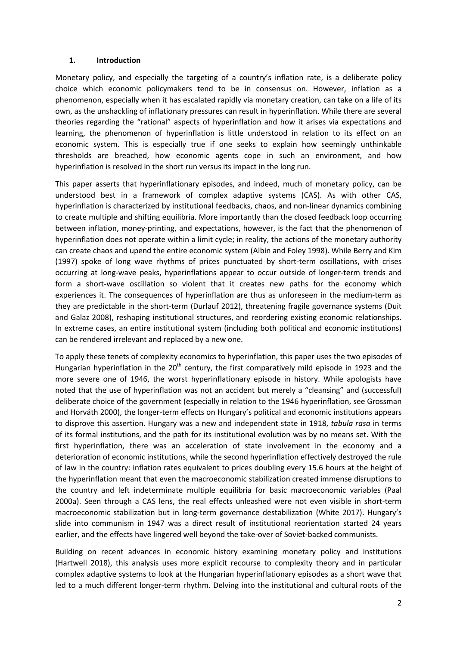### **1. Introduction**

Monetary policy, and especially the targeting of a country's inflation rate, is a deliberate policy choice which economic policymakers tend to be in consensus on. However, inflation as a phenomenon, especially when it has escalated rapidly via monetary creation, can take on a life of its own, as the unshackling of inflationary pressures can result in hyperinflation. While there are several theories regarding the "rational" aspects of hyperinflation and how it arises via expectations and learning, the phenomenon of hyperinflation is little understood in relation to its effect on an economic system. This is especially true if one seeks to explain how seemingly unthinkable thresholds are breached, how economic agents cope in such an environment, and how hyperinflation is resolved in the short run versus its impact in the long run.

This paper asserts that hyperinflationary episodes, and indeed, much of monetary policy, can be understood best in a framework of complex adaptive systems (CAS). As with other CAS, hyperinflation is characterized by institutional feedbacks, chaos, and non-linear dynamics combining to create multiple and shifting equilibria. More importantly than the closed feedback loop occurring between inflation, money-printing, and expectations, however, is the fact that the phenomenon of hyperinflation does not operate within a limit cycle; in reality, the actions of the monetary authority can create chaos and upend the entire economic system (Albin and Foley 1998). While Berry and Kim (1997) spoke of long wave rhythms of prices punctuated by short-term oscillations, with crises occurring at long-wave peaks, hyperinflations appear to occur outside of longer-term trends and form a short-wave oscillation so violent that it creates new paths for the economy which experiences it. The consequences of hyperinflation are thus as unforeseen in the medium-term as they are predictable in the short-term (Durlauf 2012), threatening fragile governance systems (Duit and Galaz 2008), reshaping institutional structures, and reordering existing economic relationships. In extreme cases, an entire institutional system (including both political and economic institutions) can be rendered irrelevant and replaced by a new one.

To apply these tenets of complexity economics to hyperinflation, this paper uses the two episodes of Hungarian hyperinflation in the  $20<sup>th</sup>$  century, the first comparatively mild episode in 1923 and the more severe one of 1946, the worst hyperinflationary episode in history. While apologists have noted that the use of hyperinflation was not an accident but merely a "cleansing" and (successful) deliberate choice of the government (especially in relation to the 1946 hyperinflation, see Grossman and Horváth 2000), the longer-term effects on Hungary's political and economic institutions appears to disprove this assertion. Hungary was a new and independent state in 1918, *tabula rasa* in terms of its formal institutions, and the path for its institutional evolution was by no means set. With the first hyperinflation, there was an acceleration of state involvement in the economy and a deterioration of economic institutions, while the second hyperinflation effectively destroyed the rule of law in the country: inflation rates equivalent to prices doubling every 15.6 hours at the height of the hyperinflation meant that even the macroeconomic stabilization created immense disruptions to the country and left indeterminate multiple equilibria for basic macroeconomic variables (Paal 2000a). Seen through a CAS lens, the real effects unleashed were not even visible in short-term macroeconomic stabilization but in long-term governance destabilization (White 2017). Hungary's slide into communism in 1947 was a direct result of institutional reorientation started 24 years earlier, and the effects have lingered well beyond the take-over of Soviet-backed communists.

Building on recent advances in economic history examining monetary policy and institutions (Hartwell 2018), this analysis uses more explicit recourse to complexity theory and in particular complex adaptive systems to look at the Hungarian hyperinflationary episodes as a short wave that led to a much different longer-term rhythm. Delving into the institutional and cultural roots of the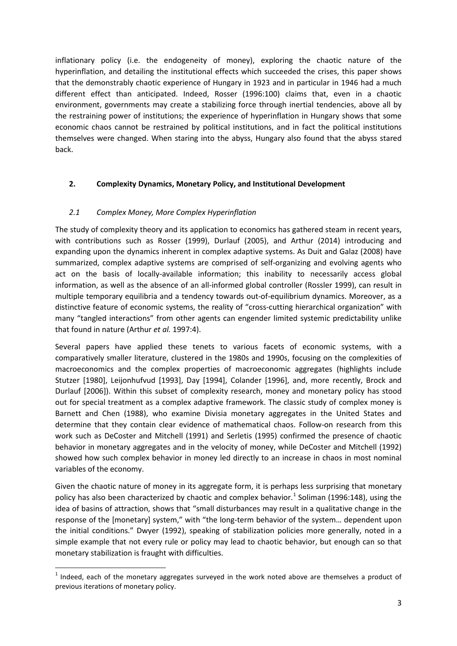inflationary policy (i.e. the endogeneity of money), exploring the chaotic nature of the hyperinflation, and detailing the institutional effects which succeeded the crises, this paper shows that the demonstrably chaotic experience of Hungary in 1923 and in particular in 1946 had a much different effect than anticipated. Indeed, Rosser (1996:100) claims that, even in a chaotic environment, governments may create a stabilizing force through inertial tendencies, above all by the restraining power of institutions; the experience of hyperinflation in Hungary shows that some economic chaos cannot be restrained by political institutions, and in fact the political institutions themselves were changed. When staring into the abyss, Hungary also found that the abyss stared back.

# **2. Complexity Dynamics, Monetary Policy, and Institutional Development**

## *2.1 Complex Money, More Complex Hyperinflation*

The study of complexity theory and its application to economics has gathered steam in recent years, with contributions such as Rosser (1999), Durlauf (2005), and Arthur (2014) introducing and expanding upon the dynamics inherent in complex adaptive systems. As Duit and Galaz (2008) have summarized, complex adaptive systems are comprised of self-organizing and evolving agents who act on the basis of locally-available information; this inability to necessarily access global information, as well as the absence of an all-informed global controller (Rossler 1999), can result in multiple temporary equilibria and a tendency towards out-of-equilibrium dynamics. Moreover, as a distinctive feature of economic systems, the reality of "cross-cutting hierarchical organization" with many "tangled interactions" from other agents can engender limited systemic predictability unlike that found in nature (Arthur *et al.* 1997:4).

Several papers have applied these tenets to various facets of economic systems, with a comparatively smaller literature, clustered in the 1980s and 1990s, focusing on the complexities of macroeconomics and the complex properties of macroeconomic aggregates (highlights include Stutzer [1980], Leijonhufvud [1993], Day [1994], Colander [1996], and, more recently, Brock and Durlauf [2006]). Within this subset of complexity research, money and monetary policy has stood out for special treatment as a complex adaptive framework. The classic study of complex money is Barnett and Chen (1988), who examine Divisia monetary aggregates in the United States and determine that they contain clear evidence of mathematical chaos. Follow-on research from this work such as DeCoster and Mitchell (1991) and Serletis (1995) confirmed the presence of chaotic behavior in monetary aggregates and in the velocity of money, while DeCoster and Mitchell (1992) showed how such complex behavior in money led directly to an increase in chaos in most nominal variables of the economy.

Given the chaotic nature of money in its aggregate form, it is perhaps less surprising that monetary policy has also been characterized by chaotic and complex behavior.<sup>[1](#page-2-0)</sup> Soliman (1996:148), using the idea of basins of attraction, shows that "small disturbances may result in a qualitative change in the response of the [monetary] system," with "the long-term behavior of the system… dependent upon the initial conditions." Dwyer (1992), speaking of stabilization policies more generally, noted in a simple example that not every rule or policy may lead to chaotic behavior, but enough can so that monetary stabilization is fraught with difficulties.

<span id="page-2-0"></span> $1$  Indeed, each of the monetary aggregates surveyed in the work noted above are themselves a product of previous iterations of monetary policy.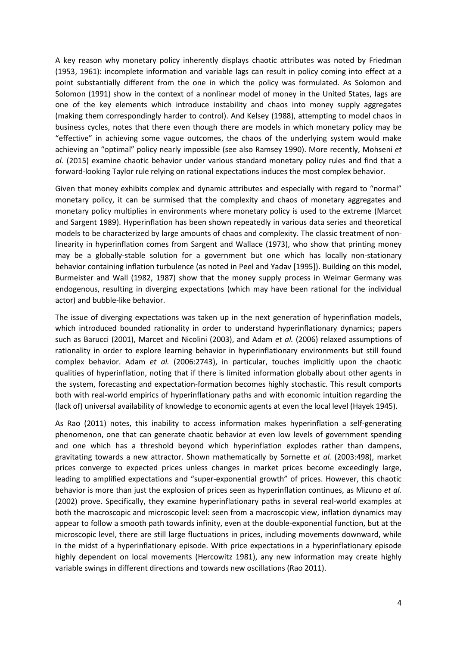A key reason why monetary policy inherently displays chaotic attributes was noted by Friedman (1953, 1961): incomplete information and variable lags can result in policy coming into effect at a point substantially different from the one in which the policy was formulated. As Solomon and Solomon (1991) show in the context of a nonlinear model of money in the United States, lags are one of the key elements which introduce instability and chaos into money supply aggregates (making them correspondingly harder to control). And Kelsey (1988), attempting to model chaos in business cycles, notes that there even though there are models in which monetary policy may be "effective" in achieving some vague outcomes, the chaos of the underlying system would make achieving an "optimal" policy nearly impossible (see also Ramsey 1990). More recently, Mohseni *et al.* (2015) examine chaotic behavior under various standard monetary policy rules and find that a forward-looking Taylor rule relying on rational expectations induces the most complex behavior.

Given that money exhibits complex and dynamic attributes and especially with regard to "normal" monetary policy, it can be surmised that the complexity and chaos of monetary aggregates and monetary policy multiplies in environments where monetary policy is used to the extreme (Marcet and Sargent 1989). Hyperinflation has been shown repeatedly in various data series and theoretical models to be characterized by large amounts of chaos and complexity. The classic treatment of nonlinearity in hyperinflation comes from Sargent and Wallace (1973), who show that printing money may be a globally-stable solution for a government but one which has locally non-stationary behavior containing inflation turbulence (as noted in Peel and Yadav [1995]). Building on this model, Burmeister and Wall (1982, 1987) show that the money supply process in Weimar Germany was endogenous, resulting in diverging expectations (which may have been rational for the individual actor) and bubble-like behavior.

The issue of diverging expectations was taken up in the next generation of hyperinflation models, which introduced bounded rationality in order to understand hyperinflationary dynamics; papers such as Barucci (2001), Marcet and Nicolini (2003), and Adam *et al.* (2006) relaxed assumptions of rationality in order to explore learning behavior in hyperinflationary environments but still found complex behavior. Adam *et al.* (2006:2743), in particular, touches implicitly upon the chaotic qualities of hyperinflation, noting that if there is limited information globally about other agents in the system, forecasting and expectation-formation becomes highly stochastic. This result comports both with real-world empirics of hyperinflationary paths and with economic intuition regarding the (lack of) universal availability of knowledge to economic agents at even the local level (Hayek 1945).

As Rao (2011) notes, this inability to access information makes hyperinflation a self-generating phenomenon, one that can generate chaotic behavior at even low levels of government spending and one which has a threshold beyond which hyperinflation explodes rather than dampens, gravitating towards a new attractor. Shown mathematically by Sornette *et al.* (2003:498), market prices converge to expected prices unless changes in market prices become exceedingly large, leading to amplified expectations and "super-exponential growth" of prices. However, this chaotic behavior is more than just the explosion of prices seen as hyperinflation continues, as Mizuno *et al.*  (2002) prove. Specifically, they examine hyperinflationary paths in several real-world examples at both the macroscopic and microscopic level: seen from a macroscopic view, inflation dynamics may appear to follow a smooth path towards infinity, even at the double-exponential function, but at the microscopic level, there are still large fluctuations in prices, including movements downward, while in the midst of a hyperinflationary episode. With price expectations in a hyperinflationary episode highly dependent on local movements (Hercowitz 1981), any new information may create highly variable swings in different directions and towards new oscillations (Rao 2011).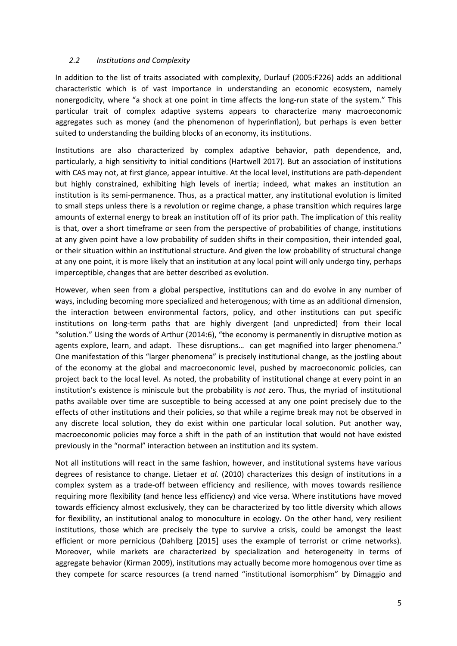### *2.2 Institutions and Complexity*

In addition to the list of traits associated with complexity, Durlauf (2005:F226) adds an additional characteristic which is of vast importance in understanding an economic ecosystem, namely nonergodicity, where "a shock at one point in time affects the long-run state of the system." This particular trait of complex adaptive systems appears to characterize many macroeconomic aggregates such as money (and the phenomenon of hyperinflation), but perhaps is even better suited to understanding the building blocks of an economy, its institutions.

Institutions are also characterized by complex adaptive behavior, path dependence, and, particularly, a high sensitivity to initial conditions (Hartwell 2017). But an association of institutions with CAS may not, at first glance, appear intuitive. At the local level, institutions are path-dependent but highly constrained, exhibiting high levels of inertia; indeed, what makes an institution an institution is its semi-permanence. Thus, as a practical matter, any institutional evolution is limited to small steps unless there is a revolution or regime change, a phase transition which requires large amounts of external energy to break an institution off of its prior path. The implication of this reality is that, over a short timeframe or seen from the perspective of probabilities of change, institutions at any given point have a low probability of sudden shifts in their composition, their intended goal, or their situation within an institutional structure. And given the low probability of structural change at any one point, it is more likely that an institution at any local point will only undergo tiny, perhaps imperceptible, changes that are better described as evolution.

However, when seen from a global perspective, institutions can and do evolve in any number of ways, including becoming more specialized and heterogenous; with time as an additional dimension, the interaction between environmental factors, policy, and other institutions can put specific institutions on long-term paths that are highly divergent (and unpredicted) from their local "solution." Using the words of Arthur (2014:6), "the economy is permanently in disruptive motion as agents explore, learn, and adapt. These disruptions… can get magnified into larger phenomena." One manifestation of this "larger phenomena" is precisely institutional change, as the jostling about of the economy at the global and macroeconomic level, pushed by macroeconomic policies, can project back to the local level. As noted, the probability of institutional change at every point in an institution's existence is miniscule but the probability is *not* zero. Thus, the myriad of institutional paths available over time are susceptible to being accessed at any one point precisely due to the effects of other institutions and their policies, so that while a regime break may not be observed in any discrete local solution, they do exist within one particular local solution. Put another way, macroeconomic policies may force a shift in the path of an institution that would not have existed previously in the "normal" interaction between an institution and its system.

Not all institutions will react in the same fashion, however, and institutional systems have various degrees of resistance to change. Lietaer *et al.* (2010) characterizes this design of institutions in a complex system as a trade-off between efficiency and resilience, with moves towards resilience requiring more flexibility (and hence less efficiency) and vice versa. Where institutions have moved towards efficiency almost exclusively, they can be characterized by too little diversity which allows for flexibility, an institutional analog to monoculture in ecology. On the other hand, very resilient institutions, those which are precisely the type to survive a crisis, could be amongst the least efficient or more pernicious (Dahlberg [2015] uses the example of terrorist or crime networks). Moreover, while markets are characterized by specialization and heterogeneity in terms of aggregate behavior (Kirman 2009), institutions may actually become more homogenous over time as they compete for scarce resources (a trend named "institutional isomorphism" by Dimaggio and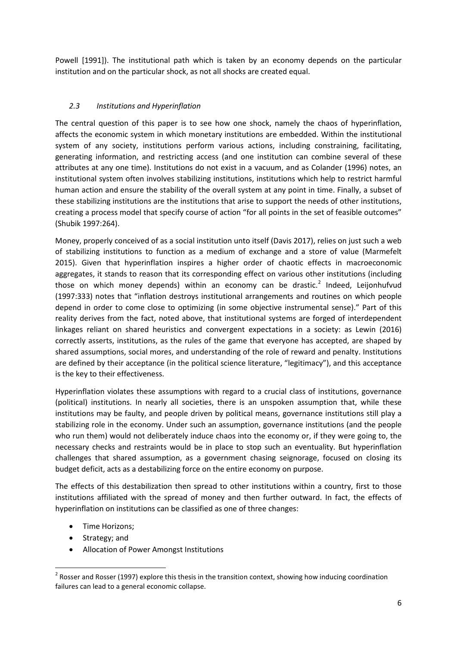Powell [1991]). The institutional path which is taken by an economy depends on the particular institution and on the particular shock, as not all shocks are created equal.

# *2.3 Institutions and Hyperinflation*

The central question of this paper is to see how one shock, namely the chaos of hyperinflation, affects the economic system in which monetary institutions are embedded. Within the institutional system of any society, institutions perform various actions, including constraining, facilitating, generating information, and restricting access (and one institution can combine several of these attributes at any one time). Institutions do not exist in a vacuum, and as Colander (1996) notes, an institutional system often involves stabilizing institutions, institutions which help to restrict harmful human action and ensure the stability of the overall system at any point in time. Finally, a subset of these stabilizing institutions are the institutions that arise to support the needs of other institutions, creating a process model that specify course of action "for all points in the set of feasible outcomes" (Shubik 1997:264).

Money, properly conceived of as a social institution unto itself (Davis 2017), relies on just such a web of stabilizing institutions to function as a medium of exchange and a store of value (Marmefelt 2015). Given that hyperinflation inspires a higher order of chaotic effects in macroeconomic aggregates, it stands to reason that its corresponding effect on various other institutions (including those on which money depends) within an economy can be drastic.<sup>[2](#page-5-0)</sup> Indeed, Leijonhufvud (1997:333) notes that "inflation destroys institutional arrangements and routines on which people depend in order to come close to optimizing (in some objective instrumental sense)." Part of this reality derives from the fact, noted above, that institutional systems are forged of interdependent linkages reliant on shared heuristics and convergent expectations in a society: as Lewin (2016) correctly asserts, institutions, as the rules of the game that everyone has accepted, are shaped by shared assumptions, social mores, and understanding of the role of reward and penalty. Institutions are defined by their acceptance (in the political science literature, "legitimacy"), and this acceptance is the key to their effectiveness.

Hyperinflation violates these assumptions with regard to a crucial class of institutions, governance (political) institutions. In nearly all societies, there is an unspoken assumption that, while these institutions may be faulty, and people driven by political means, governance institutions still play a stabilizing role in the economy. Under such an assumption, governance institutions (and the people who run them) would not deliberately induce chaos into the economy or, if they were going to, the necessary checks and restraints would be in place to stop such an eventuality. But hyperinflation challenges that shared assumption, as a government chasing seignorage, focused on closing its budget deficit, acts as a destabilizing force on the entire economy on purpose.

The effects of this destabilization then spread to other institutions within a country, first to those institutions affiliated with the spread of money and then further outward. In fact, the effects of hyperinflation on institutions can be classified as one of three changes:

- Time Horizons;
- Strategy; and
- Allocation of Power Amongst Institutions

<span id="page-5-0"></span> $2$  Rosser and Rosser (1997) explore this thesis in the transition context, showing how inducing coordination failures can lead to a general economic collapse.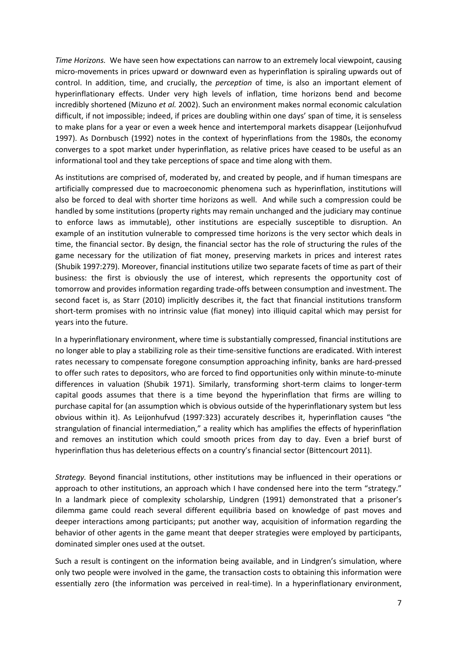*Time Horizons.* We have seen how expectations can narrow to an extremely local viewpoint, causing micro-movements in prices upward or downward even as hyperinflation is spiraling upwards out of control. In addition, time, and crucially, the *perception* of time, is also an important element of hyperinflationary effects. Under very high levels of inflation, time horizons bend and become incredibly shortened (Mizuno *et al.* 2002). Such an environment makes normal economic calculation difficult, if not impossible; indeed, if prices are doubling within one days' span of time, it is senseless to make plans for a year or even a week hence and intertemporal markets disappear (Leijonhufvud 1997). As Dornbusch (1992) notes in the context of hyperinflations from the 1980s, the economy converges to a spot market under hyperinflation, as relative prices have ceased to be useful as an informational tool and they take perceptions of space and time along with them.

As institutions are comprised of, moderated by, and created by people, and if human timespans are artificially compressed due to macroeconomic phenomena such as hyperinflation, institutions will also be forced to deal with shorter time horizons as well. And while such a compression could be handled by some institutions (property rights may remain unchanged and the judiciary may continue to enforce laws as immutable), other institutions are especially susceptible to disruption. An example of an institution vulnerable to compressed time horizons is the very sector which deals in time, the financial sector. By design, the financial sector has the role of structuring the rules of the game necessary for the utilization of fiat money, preserving markets in prices and interest rates (Shubik 1997:279). Moreover, financial institutions utilize two separate facets of time as part of their business: the first is obviously the use of interest, which represents the opportunity cost of tomorrow and provides information regarding trade-offs between consumption and investment. The second facet is, as Starr (2010) implicitly describes it, the fact that financial institutions transform short-term promises with no intrinsic value (fiat money) into illiquid capital which may persist for years into the future.

In a hyperinflationary environment, where time is substantially compressed, financial institutions are no longer able to play a stabilizing role as their time-sensitive functions are eradicated. With interest rates necessary to compensate foregone consumption approaching infinity, banks are hard-pressed to offer such rates to depositors, who are forced to find opportunities only within minute-to-minute differences in valuation (Shubik 1971). Similarly, transforming short-term claims to longer-term capital goods assumes that there is a time beyond the hyperinflation that firms are willing to purchase capital for (an assumption which is obvious outside of the hyperinflationary system but less obvious within it). As Leijonhufvud (1997:323) accurately describes it, hyperinflation causes "the strangulation of financial intermediation," a reality which has amplifies the effects of hyperinflation and removes an institution which could smooth prices from day to day. Even a brief burst of hyperinflation thus has deleterious effects on a country's financial sector (Bittencourt 2011).

*Strategy.* Beyond financial institutions, other institutions may be influenced in their operations or approach to other institutions, an approach which I have condensed here into the term "strategy." In a landmark piece of complexity scholarship, Lindgren (1991) demonstrated that a prisoner's dilemma game could reach several different equilibria based on knowledge of past moves and deeper interactions among participants; put another way, acquisition of information regarding the behavior of other agents in the game meant that deeper strategies were employed by participants, dominated simpler ones used at the outset.

Such a result is contingent on the information being available, and in Lindgren's simulation, where only two people were involved in the game, the transaction costs to obtaining this information were essentially zero (the information was perceived in real-time). In a hyperinflationary environment,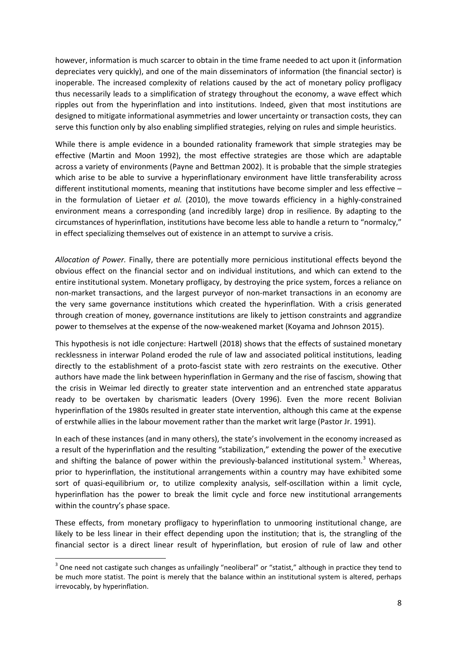however, information is much scarcer to obtain in the time frame needed to act upon it (information depreciates very quickly), and one of the main disseminators of information (the financial sector) is inoperable. The increased complexity of relations caused by the act of monetary policy profligacy thus necessarily leads to a simplification of strategy throughout the economy, a wave effect which ripples out from the hyperinflation and into institutions. Indeed, given that most institutions are designed to mitigate informational asymmetries and lower uncertainty or transaction costs, they can serve this function only by also enabling simplified strategies, relying on rules and simple heuristics.

While there is ample evidence in a bounded rationality framework that simple strategies may be effective (Martin and Moon 1992), the most effective strategies are those which are adaptable across a variety of environments (Payne and Bettman 2002). It is probable that the simple strategies which arise to be able to survive a hyperinflationary environment have little transferability across different institutional moments, meaning that institutions have become simpler and less effective – in the formulation of Lietaer *et al.* (2010), the move towards efficiency in a highly-constrained environment means a corresponding (and incredibly large) drop in resilience. By adapting to the circumstances of hyperinflation, institutions have become less able to handle a return to "normalcy," in effect specializing themselves out of existence in an attempt to survive a crisis.

*Allocation of Power.* Finally, there are potentially more pernicious institutional effects beyond the obvious effect on the financial sector and on individual institutions, and which can extend to the entire institutional system. Monetary profligacy, by destroying the price system, forces a reliance on non-market transactions, and the largest purveyor of non-market transactions in an economy are the very same governance institutions which created the hyperinflation. With a crisis generated through creation of money, governance institutions are likely to jettison constraints and aggrandize power to themselves at the expense of the now-weakened market (Koyama and Johnson 2015).

This hypothesis is not idle conjecture: Hartwell (2018) shows that the effects of sustained monetary recklessness in interwar Poland eroded the rule of law and associated political institutions, leading directly to the establishment of a proto-fascist state with zero restraints on the executive. Other authors have made the link between hyperinflation in Germany and the rise of fascism, showing that the crisis in Weimar led directly to greater state intervention and an entrenched state apparatus ready to be overtaken by charismatic leaders (Overy 1996). Even the more recent Bolivian hyperinflation of the 1980s resulted in greater state intervention, although this came at the expense of erstwhile allies in the labour movement rather than the market writ large (Pastor Jr. 1991).

In each of these instances (and in many others), the state's involvement in the economy increased as a result of the hyperinflation and the resulting "stabilization," extending the power of the executive and shifting the balance of power within the previously-balanced institutional system.<sup>[3](#page-7-0)</sup> Whereas, prior to hyperinflation, the institutional arrangements within a country may have exhibited some sort of quasi-equilibrium or, to utilize complexity analysis, self-oscillation within a limit cycle, hyperinflation has the power to break the limit cycle and force new institutional arrangements within the country's phase space.

These effects, from monetary profligacy to hyperinflation to unmooring institutional change, are likely to be less linear in their effect depending upon the institution; that is, the strangling of the financial sector is a direct linear result of hyperinflation, but erosion of rule of law and other

<span id="page-7-0"></span> $3$  One need not castigate such changes as unfailingly "neoliberal" or "statist," although in practice they tend to be much more statist. The point is merely that the balance within an institutional system is altered, perhaps irrevocably, by hyperinflation.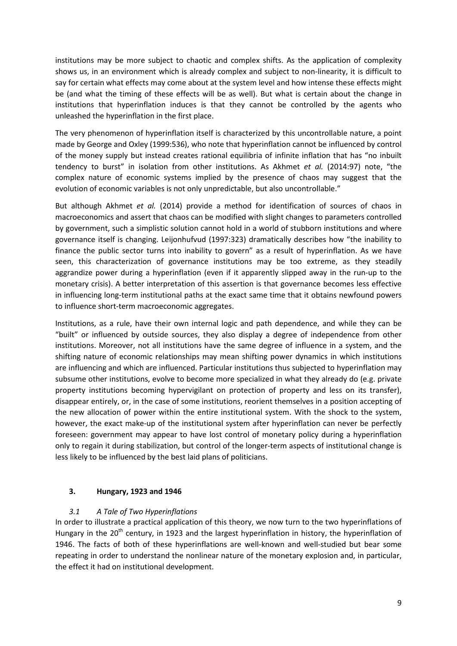institutions may be more subject to chaotic and complex shifts. As the application of complexity shows us, in an environment which is already complex and subject to non-linearity, it is difficult to say for certain what effects may come about at the system level and how intense these effects might be (and what the timing of these effects will be as well). But what is certain about the change in institutions that hyperinflation induces is that they cannot be controlled by the agents who unleashed the hyperinflation in the first place.

The very phenomenon of hyperinflation itself is characterized by this uncontrollable nature, a point made by George and Oxley (1999:536), who note that hyperinflation cannot be influenced by control of the money supply but instead creates rational equilibria of infinite inflation that has "no inbuilt tendency to burst" in isolation from other institutions. As Akhmet *et al.* (2014:97) note, "the complex nature of economic systems implied by the presence of chaos may suggest that the evolution of economic variables is not only unpredictable, but also uncontrollable."

But although Akhmet *et al.* (2014) provide a method for identification of sources of chaos in macroeconomics and assert that chaos can be modified with slight changes to parameters controlled by government, such a simplistic solution cannot hold in a world of stubborn institutions and where governance itself is changing. Leijonhufvud (1997:323) dramatically describes how "the inability to finance the public sector turns into inability to govern" as a result of hyperinflation. As we have seen, this characterization of governance institutions may be too extreme, as they steadily aggrandize power during a hyperinflation (even if it apparently slipped away in the run-up to the monetary crisis). A better interpretation of this assertion is that governance becomes less effective in influencing long-term institutional paths at the exact same time that it obtains newfound powers to influence short-term macroeconomic aggregates.

Institutions, as a rule, have their own internal logic and path dependence, and while they can be "built" or influenced by outside sources, they also display a degree of independence from other institutions. Moreover, not all institutions have the same degree of influence in a system, and the shifting nature of economic relationships may mean shifting power dynamics in which institutions are influencing and which are influenced. Particular institutions thus subjected to hyperinflation may subsume other institutions, evolve to become more specialized in what they already do (e.g. private property institutions becoming hypervigilant on protection of property and less on its transfer), disappear entirely, or, in the case of some institutions, reorient themselves in a position accepting of the new allocation of power within the entire institutional system. With the shock to the system, however, the exact make-up of the institutional system after hyperinflation can never be perfectly foreseen: government may appear to have lost control of monetary policy during a hyperinflation only to regain it during stabilization, but control of the longer-term aspects of institutional change is less likely to be influenced by the best laid plans of politicians.

## **3. Hungary, 1923 and 1946**

## *3.1 A Tale of Two Hyperinflations*

In order to illustrate a practical application of this theory, we now turn to the two hyperinflations of Hungary in the  $20<sup>th</sup>$  century, in 1923 and the largest hyperinflation in history, the hyperinflation of 1946. The facts of both of these hyperinflations are well-known and well-studied but bear some repeating in order to understand the nonlinear nature of the monetary explosion and, in particular, the effect it had on institutional development.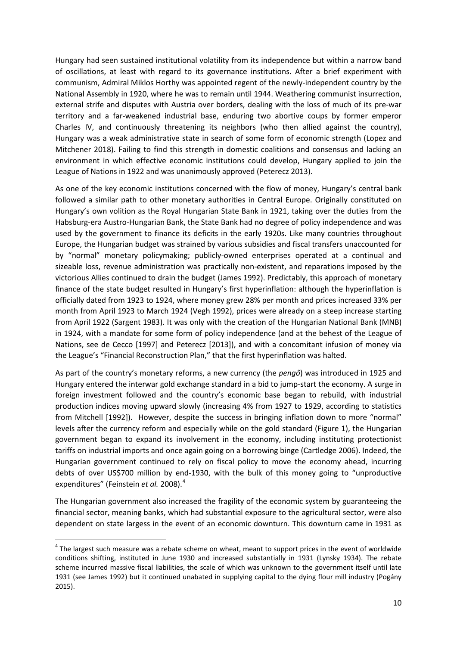Hungary had seen sustained institutional volatility from its independence but within a narrow band of oscillations, at least with regard to its governance institutions. After a brief experiment with communism, Admiral Miklos Horthy was appointed regent of the newly-independent country by the National Assembly in 1920, where he was to remain until 1944. Weathering communist insurrection, external strife and disputes with Austria over borders, dealing with the loss of much of its pre-war territory and a far-weakened industrial base, enduring two abortive coups by former emperor Charles IV, and continuously threatening its neighbors (who then allied against the country), Hungary was a weak administrative state in search of some form of economic strength (Lopez and Mitchener 2018). Failing to find this strength in domestic coalitions and consensus and lacking an environment in which effective economic institutions could develop, Hungary applied to join the League of Nations in 1922 and was unanimously approved (Peterecz 2013).

As one of the key economic institutions concerned with the flow of money, Hungary's central bank followed a similar path to other monetary authorities in Central Europe. Originally constituted on Hungary's own volition as the Royal Hungarian State Bank in 1921, taking over the duties from the Habsburg-era Austro-Hungarian Bank, the State Bank had no degree of policy independence and was used by the government to finance its deficits in the early 1920s. Like many countries throughout Europe, the Hungarian budget was strained by various subsidies and fiscal transfers unaccounted for by "normal" monetary policymaking; publicly-owned enterprises operated at a continual and sizeable loss, revenue administration was practically non-existent, and reparations imposed by the victorious Allies continued to drain the budget (James 1992). Predictably, this approach of monetary finance of the state budget resulted in Hungary's first hyperinflation: although the hyperinflation is officially dated from 1923 to 1924, where money grew 28% per month and prices increased 33% per month from April 1923 to March 1924 (Vegh 1992), prices were already on a steep increase starting from April 1922 (Sargent 1983). It was only with the creation of the Hungarian National Bank (MNB) in 1924, with a mandate for some form of policy independence (and at the behest of the League of Nations, see de Cecco [1997] and Peterecz [2013]), and with a concomitant infusion of money via the League's "Financial Reconstruction Plan," that the first hyperinflation was halted.

As part of the country's monetary reforms, a new currency (the *pengő*) was introduced in 1925 and Hungary entered the interwar gold exchange standard in a bid to jump-start the economy. A surge in foreign investment followed and the country's economic base began to rebuild, with industrial production indices moving upward slowly (increasing 4% from 1927 to 1929, according to statistics from Mitchell [1992]). However, despite the success in bringing inflation down to more "normal" levels after the currency reform and especially while on the gold standard (Figure 1), the Hungarian government began to expand its involvement in the economy, including instituting protectionist tariffs on industrial imports and once again going on a borrowing binge (Cartledge 2006). Indeed, the Hungarian government continued to rely on fiscal policy to move the economy ahead, incurring debts of over US\$700 million by end-1930, with the bulk of this money going to "unproductive expenditures" (Feinstein *et al.* 2008).[4](#page-9-0)

The Hungarian government also increased the fragility of the economic system by guaranteeing the financial sector, meaning banks, which had substantial exposure to the agricultural sector, were also dependent on state largess in the event of an economic downturn. This downturn came in 1931 as

<span id="page-9-0"></span> $4$  The largest such measure was a rebate scheme on wheat, meant to support prices in the event of worldwide conditions shifting, instituted in June 1930 and increased substantially in 1931 (Lynsky 1934). The rebate scheme incurred massive fiscal liabilities, the scale of which was unknown to the government itself until late 1931 (see James 1992) but it continued unabated in supplying capital to the dying flour mill industry (Pogány 2015).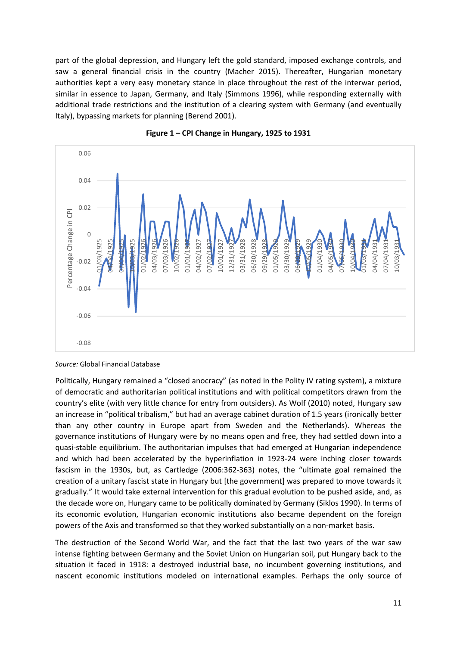part of the global depression, and Hungary left the gold standard, imposed exchange controls, and saw a general financial crisis in the country (Macher 2015). Thereafter, Hungarian monetary authorities kept a very easy monetary stance in place throughout the rest of the interwar period, similar in essence to Japan, Germany, and Italy (Simmons 1996), while responding externally with additional trade restrictions and the institution of a clearing system with Germany (and eventually Italy), bypassing markets for planning (Berend 2001).





*Source:* Global Financial Database

Politically, Hungary remained a "closed anocracy" (as noted in the Polity IV rating system), a mixture of democratic and authoritarian political institutions and with political competitors drawn from the country's elite (with very little chance for entry from outsiders). As Wolf (2010) noted, Hungary saw an increase in "political tribalism," but had an average cabinet duration of 1.5 years (ironically better than any other country in Europe apart from Sweden and the Netherlands). Whereas the governance institutions of Hungary were by no means open and free, they had settled down into a quasi-stable equilibrium. The authoritarian impulses that had emerged at Hungarian independence and which had been accelerated by the hyperinflation in 1923-24 were inching closer towards fascism in the 1930s, but, as Cartledge (2006:362-363) notes, the "ultimate goal remained the creation of a unitary fascist state in Hungary but [the government] was prepared to move towards it gradually." It would take external intervention for this gradual evolution to be pushed aside, and, as the decade wore on, Hungary came to be politically dominated by Germany (Siklos 1990). In terms of its economic evolution, Hungarian economic institutions also became dependent on the foreign powers of the Axis and transformed so that they worked substantially on a non-market basis.

The destruction of the Second World War, and the fact that the last two years of the war saw intense fighting between Germany and the Soviet Union on Hungarian soil, put Hungary back to the situation it faced in 1918: a destroyed industrial base, no incumbent governing institutions, and nascent economic institutions modeled on international examples. Perhaps the only source of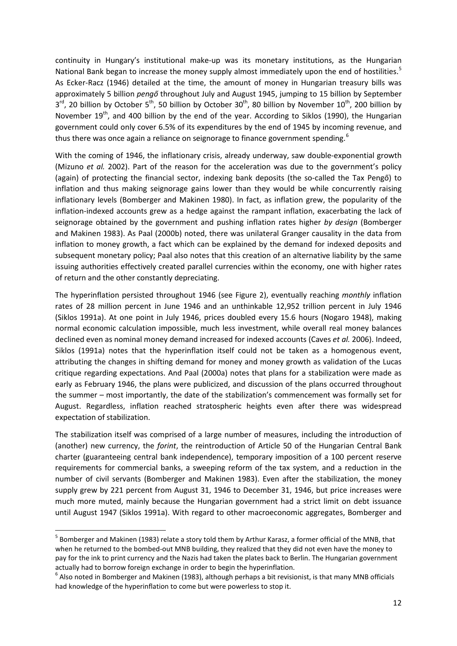continuity in Hungary's institutional make-up was its monetary institutions, as the Hungarian National Bank began to increase the money supply almost immediately upon the end of hostilities.<sup>[5](#page-11-0)</sup> As Ecker-Racz (1946) detailed at the time, the amount of money in Hungarian treasury bills was approximately 5 billion *pengő* throughout July and August 1945, jumping to 15 billion by September  $3^{rd}$ , 20 billion by October 5<sup>th</sup>, 50 billion by October  $30^{th}$ , 80 billion by November 10<sup>th</sup>, 200 billion by November 19<sup>th</sup>, and 400 billion by the end of the year. According to Siklos (1990), the Hungarian government could only cover 6.5% of its expenditures by the end of 1945 by incoming revenue, and thus there was once again a reliance on seignorage to finance government spending.<sup>[6](#page-11-1)</sup>

With the coming of 1946, the inflationary crisis, already underway, saw double-exponential growth (Mizuno *et al.* 2002). Part of the reason for the acceleration was due to the government's policy (again) of protecting the financial sector, indexing bank deposits (the so-called the Tax Pengő) to inflation and thus making seignorage gains lower than they would be while concurrently raising inflationary levels (Bomberger and Makinen 1980). In fact, as inflation grew, the popularity of the inflation-indexed accounts grew as a hedge against the rampant inflation, exacerbating the lack of seignorage obtained by the government and pushing inflation rates higher *by design* (Bomberger and Makinen 1983). As Paal (2000b) noted, there was unilateral Granger causality in the data from inflation to money growth, a fact which can be explained by the demand for indexed deposits and subsequent monetary policy; Paal also notes that this creation of an alternative liability by the same issuing authorities effectively created parallel currencies within the economy, one with higher rates of return and the other constantly depreciating.

The hyperinflation persisted throughout 1946 (see Figure 2), eventually reaching *monthly* inflation rates of 28 million percent in June 1946 and an unthinkable 12,952 trillion percent in July 1946 (Siklos 1991a). At one point in July 1946, prices doubled every 15.6 hours (Nogaro 1948), making normal economic calculation impossible, much less investment, while overall real money balances declined even as nominal money demand increased for indexed accounts (Caves *et al.* 2006). Indeed, Siklos (1991a) notes that the hyperinflation itself could not be taken as a homogenous event, attributing the changes in shifting demand for money and money growth as validation of the Lucas critique regarding expectations. And Paal (2000a) notes that plans for a stabilization were made as early as February 1946, the plans were publicized, and discussion of the plans occurred throughout the summer – most importantly, the date of the stabilization's commencement was formally set for August. Regardless, inflation reached stratospheric heights even after there was widespread expectation of stabilization.

The stabilization itself was comprised of a large number of measures, including the introduction of (another) new currency, the *forint*, the reintroduction of Article 50 of the Hungarian Central Bank charter (guaranteeing central bank independence), temporary imposition of a 100 percent reserve requirements for commercial banks, a sweeping reform of the tax system, and a reduction in the number of civil servants (Bomberger and Makinen 1983). Even after the stabilization, the money supply grew by 221 percent from August 31, 1946 to December 31, 1946, but price increases were much more muted, mainly because the Hungarian government had a strict limit on debt issuance until August 1947 (Siklos 1991a). With regard to other macroeconomic aggregates, Bomberger and

<span id="page-11-0"></span> <sup>5</sup> Bomberger and Makinen (1983) relate a story told them by Arthur Karasz, a former official of the MNB, that when he returned to the bombed-out MNB building, they realized that they did not even have the money to pay for the ink to print currency and the Nazis had taken the plates back to Berlin. The Hungarian government actually had to borrow foreign exchange in order to begin the hyperinflation.

<span id="page-11-1"></span> $6$  Also noted in Bomberger and Makinen (1983), although perhaps a bit revisionist, is that many MNB officials had knowledge of the hyperinflation to come but were powerless to stop it.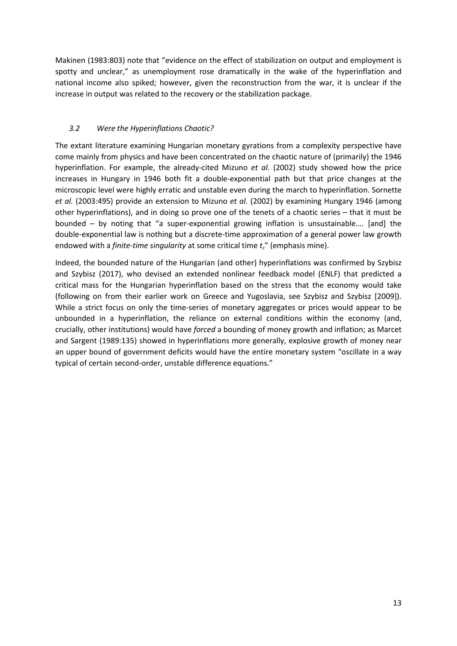Makinen (1983:803) note that "evidence on the effect of stabilization on output and employment is spotty and unclear," as unemployment rose dramatically in the wake of the hyperinflation and national income also spiked; however, given the reconstruction from the war, it is unclear if the increase in output was related to the recovery or the stabilization package.

# *3.2 Were the Hyperinflations Chaotic?*

The extant literature examining Hungarian monetary gyrations from a complexity perspective have come mainly from physics and have been concentrated on the chaotic nature of (primarily) the 1946 hyperinflation. For example, the already-cited Mizuno *et al.* (2002) study showed how the price increases in Hungary in 1946 both fit a double-exponential path but that price changes at the microscopic level were highly erratic and unstable even during the march to hyperinflation. Sornette *et al.* (2003:495) provide an extension to Mizuno *et al.* (2002) by examining Hungary 1946 (among other hyperinflations), and in doing so prove one of the tenets of a chaotic series – that it must be bounded – by noting that "a super-exponential growing inflation is unsustainable…. [and] the double-exponential law is nothing but a discrete-time approximation of a general power law growth endowed with a *finite-time singularity* at some critical time  $t_c$ " (emphasis mine).

Indeed, the bounded nature of the Hungarian (and other) hyperinflations was confirmed by Szybisz and Szybisz (2017), who devised an extended nonlinear feedback model (ENLF) that predicted a critical mass for the Hungarian hyperinflation based on the stress that the economy would take (following on from their earlier work on Greece and Yugoslavia, see Szybisz and Szybisz [2009]). While a strict focus on only the time-series of monetary aggregates or prices would appear to be unbounded in a hyperinflation, the reliance on external conditions within the economy (and, crucially, other institutions) would have *forced* a bounding of money growth and inflation; as Marcet and Sargent (1989:135) showed in hyperinflations more generally, explosive growth of money near an upper bound of government deficits would have the entire monetary system "oscillate in a way typical of certain second-order, unstable difference equations."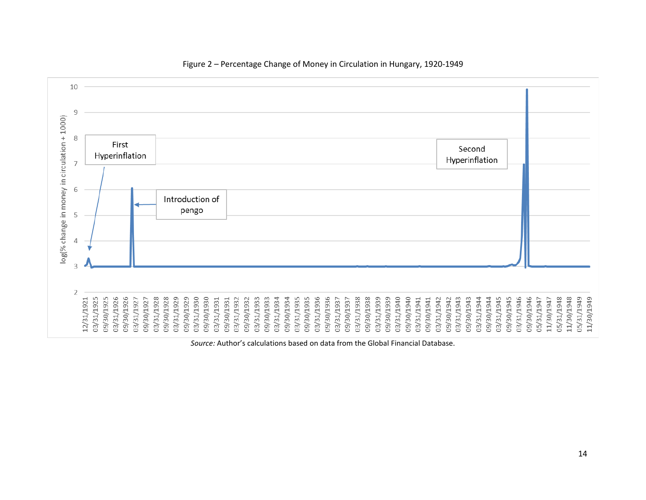

### Figure 2 – Percentage Change of Money in Circulation in Hungary, 1920-1949

*Source:* Author's calculations based on data from the Global Financial Database.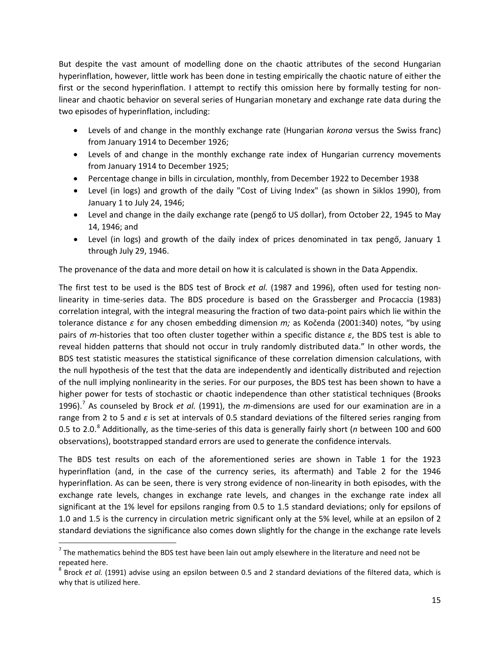But despite the vast amount of modelling done on the chaotic attributes of the second Hungarian hyperinflation, however, little work has been done in testing empirically the chaotic nature of either the first or the second hyperinflation. I attempt to rectify this omission here by formally testing for nonlinear and chaotic behavior on several series of Hungarian monetary and exchange rate data during the two episodes of hyperinflation, including:

- Levels of and change in the monthly exchange rate (Hungarian *korona* versus the Swiss franc) from January 1914 to December 1926;
- Levels of and change in the monthly exchange rate index of Hungarian currency movements from January 1914 to December 1925;
- Percentage change in bills in circulation, monthly, from December 1922 to December 1938
- Level (in logs) and growth of the daily "Cost of Living Index" (as shown in Siklos 1990), from January 1 to July 24, 1946;
- Level and change in the daily exchange rate (pengő to US dollar), from October 22, 1945 to May 14, 1946; and
- Level (in logs) and growth of the daily index of prices denominated in tax pengő, January 1 through July 29, 1946.

The provenance of the data and more detail on how it is calculated is shown in the Data Appendix.

The first test to be used is the BDS test of Brock *et al.* (1987 and 1996), often used for testing nonlinearity in time-series data. The BDS procedure is based on the Grassberger and Procaccia (1983) correlation integral, with the integral measuring the fraction of two data-point pairs which lie within the tolerance distance *ε* for any chosen embedding dimension *m;* as Kočenda (2001:340) notes, "by using pairs of *m*-histories that too often cluster together within a specific distance *ε*, the BDS test is able to reveal hidden patterns that should not occur in truly randomly distributed data." In other words, the BDS test statistic measures the statistical significance of these correlation dimension calculations, with the null hypothesis of the test that the data are independently and identically distributed and rejection of the null implying nonlinearity in the series. For our purposes, the BDS test has been shown to have a higher power for tests of stochastic or chaotic independence than other statistical techniques (Brooks 1996). [7](#page-14-0) As counseled by Brock *et al.* (1991), the *m-*dimensions are used for our examination are in a range from 2 to 5 and *ε* is set at intervals of 0.5 standard deviations of the filtered series ranging from 0.5 to 2.0. [8](#page-14-1) Additionally, as the time-series of this data is generally fairly short (*n* between 100 and 600 observations), bootstrapped standard errors are used to generate the confidence intervals.

The BDS test results on each of the aforementioned series are shown in Table 1 for the 1923 hyperinflation (and, in the case of the currency series, its aftermath) and Table 2 for the 1946 hyperinflation. As can be seen, there is very strong evidence of non-linearity in both episodes, with the exchange rate levels, changes in exchange rate levels, and changes in the exchange rate index all significant at the 1% level for epsilons ranging from 0.5 to 1.5 standard deviations; only for epsilons of 1.0 and 1.5 is the currency in circulation metric significant only at the 5% level, while at an epsilon of 2 standard deviations the significance also comes down slightly for the change in the exchange rate levels

<span id="page-14-0"></span> $<sup>7</sup>$  The mathematics behind the BDS test have been lain out amply elsewhere in the literature and need not be</sup> repeated here.

<span id="page-14-1"></span><sup>8</sup> Brock *et al.* (1991) advise using an epsilon between 0.5 and 2 standard deviations of the filtered data, which is why that is utilized here.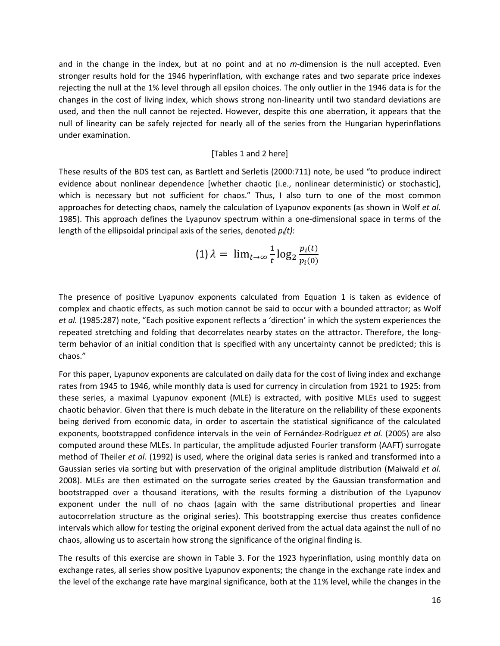and in the change in the index, but at no point and at no *m-*dimension is the null accepted. Even stronger results hold for the 1946 hyperinflation, with exchange rates and two separate price indexes rejecting the null at the 1% level through all epsilon choices. The only outlier in the 1946 data is for the changes in the cost of living index, which shows strong non-linearity until two standard deviations are used, and then the null cannot be rejected. However, despite this one aberration, it appears that the null of linearity can be safely rejected for nearly all of the series from the Hungarian hyperinflations under examination.

### [Tables 1 and 2 here]

These results of the BDS test can, as Bartlett and Serletis (2000:711) note, be used "to produce indirect evidence about nonlinear dependence [whether chaotic (i.e., nonlinear deterministic) or stochastic], which is necessary but not sufficient for chaos." Thus, I also turn to one of the most common approaches for detecting chaos, namely the calculation of Lyapunov exponents (as shown in Wolf *et al.*  1985). This approach defines the Lyapunov spectrum within a one-dimensional space in terms of the length of the ellipsoidal principal axis of the series, denoted *pi(t)*:

$$
(1) \lambda = \lim_{t \to \infty} \frac{1}{t} \log_2 \frac{p_i(t)}{p_i(0)}
$$

The presence of positive Lyapunov exponents calculated from Equation 1 is taken as evidence of complex and chaotic effects, as such motion cannot be said to occur with a bounded attractor; as Wolf *et al.* (1985:287) note, "Each positive exponent reflects a 'direction' in which the system experiences the repeated stretching and folding that decorrelates nearby states on the attractor. Therefore, the longterm behavior of an initial condition that is specified with any uncertainty cannot be predicted; this is chaos."

For this paper, Lyapunov exponents are calculated on daily data for the cost of living index and exchange rates from 1945 to 1946, while monthly data is used for currency in circulation from 1921 to 1925: from these series, a maximal Lyapunov exponent (MLE) is extracted, with positive MLEs used to suggest chaotic behavior. Given that there is much debate in the literature on the reliability of these exponents being derived from economic data, in order to ascertain the statistical significance of the calculated exponents, bootstrapped confidence intervals in the vein of Fernández-Rodríguez *et al.* (2005) are also computed around these MLEs. In particular, the amplitude adjusted Fourier transform (AAFT) surrogate method of Theiler *et al.* (1992) is used, where the original data series is ranked and transformed into a Gaussian series via sorting but with preservation of the original amplitude distribution (Maiwald *et al.*  2008). MLEs are then estimated on the surrogate series created by the Gaussian transformation and bootstrapped over a thousand iterations, with the results forming a distribution of the Lyapunov exponent under the null of no chaos (again with the same distributional properties and linear autocorrelation structure as the original series). This bootstrapping exercise thus creates confidence intervals which allow for testing the original exponent derived from the actual data against the null of no chaos, allowing us to ascertain how strong the significance of the original finding is.

The results of this exercise are shown in Table 3. For the 1923 hyperinflation, using monthly data on exchange rates, all series show positive Lyapunov exponents; the change in the exchange rate index and the level of the exchange rate have marginal significance, both at the 11% level, while the changes in the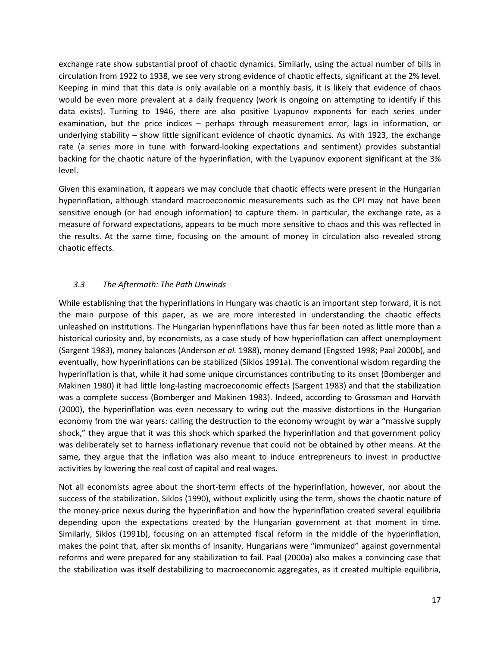exchange rate show substantial proof of chaotic dynamics. Similarly, using the actual number of bills in circulation from 1922 to 1938, we see very strong evidence of chaotic effects, significant at the 2% level. Keeping in mind that this data is only available on a monthly basis, it is likely that evidence of chaos would be even more prevalent at a daily frequency (work is ongoing on attempting to identify if this data exists). Turning to 1946, there are also positive Lyapunov exponents for each series under examination, but the price indices – perhaps through measurement error, lags in information, or underlying stability – show little significant evidence of chaotic dynamics. As with 1923, the exchange rate (a series more in tune with forward-looking expectations and sentiment) provides substantial backing for the chaotic nature of the hyperinflation, with the Lyapunov exponent significant at the 3% level.

Given this examination, it appears we may conclude that chaotic effects were present in the Hungarian hyperinflation, although standard macroeconomic measurements such as the CPI may not have been sensitive enough (or had enough information) to capture them. In particular, the exchange rate, as a measure of forward expectations, appears to be much more sensitive to chaos and this was reflected in the results. At the same time, focusing on the amount of money in circulation also revealed strong chaotic effects.

## *3.3 The Aftermath: The Path Unwinds*

While establishing that the hyperinflations in Hungary was chaotic is an important step forward, it is not the main purpose of this paper, as we are more interested in understanding the chaotic effects unleashed on institutions. The Hungarian hyperinflations have thus far been noted as little more than a historical curiosity and, by economists, as a case study of how hyperinflation can affect unemployment (Sargent 1983), money balances (Anderson *et al.* 1988), money demand (Engsted 1998; Paal 2000b), and eventually, how hyperinflations can be stabilized (Siklos 1991a). The conventional wisdom regarding the hyperinflation is that, while it had some unique circumstances contributing to its onset (Bomberger and Makinen 1980) it had little long-lasting macroeconomic effects (Sargent 1983) and that the stabilization was a complete success (Bomberger and Makinen 1983). Indeed, according to Grossman and Horváth (2000), the hyperinflation was even necessary to wring out the massive distortions in the Hungarian economy from the war years: calling the destruction to the economy wrought by war a "massive supply shock," they argue that it was this shock which sparked the hyperinflation and that government policy was deliberately set to harness inflationary revenue that could not be obtained by other means. At the same, they argue that the inflation was also meant to induce entrepreneurs to invest in productive activities by lowering the real cost of capital and real wages.

Not all economists agree about the short-term effects of the hyperinflation, however, nor about the success of the stabilization. Siklos (1990), without explicitly using the term, shows the chaotic nature of the money-price nexus during the hyperinflation and how the hyperinflation created several equilibria depending upon the expectations created by the Hungarian government at that moment in time. Similarly, Siklos (1991b), focusing on an attempted fiscal reform in the middle of the hyperinflation, makes the point that, after six months of insanity, Hungarians were "immunized" against governmental reforms and were prepared for any stabilization to fail. Paal (2000a) also makes a convincing case that the stabilization was itself destabilizing to macroeconomic aggregates, as it created multiple equilibria,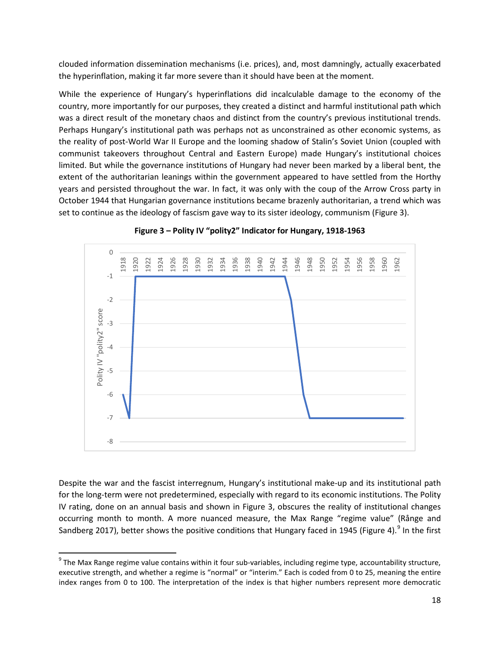clouded information dissemination mechanisms (i.e. prices), and, most damningly, actually exacerbated the hyperinflation, making it far more severe than it should have been at the moment.

While the experience of Hungary's hyperinflations did incalculable damage to the economy of the country, more importantly for our purposes, they created a distinct and harmful institutional path which was a direct result of the monetary chaos and distinct from the country's previous institutional trends. Perhaps Hungary's institutional path was perhaps not as unconstrained as other economic systems, as the reality of post-World War II Europe and the looming shadow of Stalin's Soviet Union (coupled with communist takeovers throughout Central and Eastern Europe) made Hungary's institutional choices limited. But while the governance institutions of Hungary had never been marked by a liberal bent, the extent of the authoritarian leanings within the government appeared to have settled from the Horthy years and persisted throughout the war. In fact, it was only with the coup of the Arrow Cross party in October 1944 that Hungarian governance institutions became brazenly authoritarian, a trend which was set to continue as the ideology of fascism gave way to its sister ideology, communism (Figure 3).

![](_page_17_Figure_2.jpeg)

**Figure 3 – Polity IV "polity2" Indicator for Hungary, 1918-1963**

Despite the war and the fascist interregnum, Hungary's institutional make-up and its institutional path for the long-term were not predetermined, especially with regard to its economic institutions. The Polity IV rating, done on an annual basis and shown in Figure 3, obscures the reality of institutional changes occurring month to month. A more nuanced measure, the Max Range "regime value" (Rånge and Sandberg 2017), better shows the positive conditions that Hungary faced in 1[9](#page-17-0)45 (Figure 4).<sup>9</sup> In the first

<span id="page-17-0"></span> $9$  The Max Range regime value contains within it four sub-variables, including regime type, accountability structure, executive strength, and whether a regime is "normal" or "interim." Each is coded from 0 to 25, meaning the entire index ranges from 0 to 100. The interpretation of the index is that higher numbers represent more democratic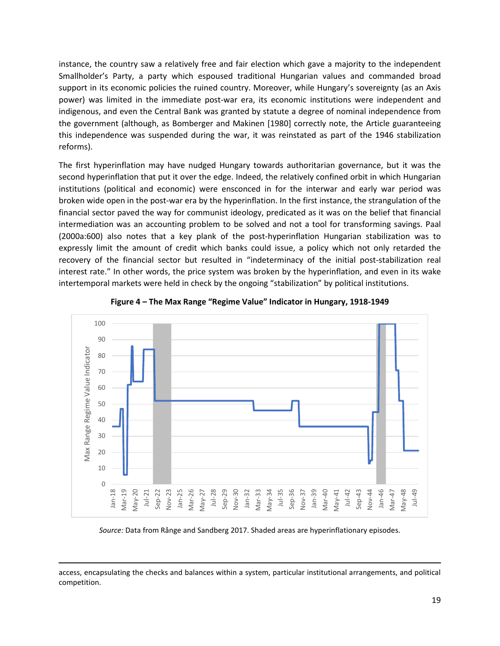instance, the country saw a relatively free and fair election which gave a majority to the independent Smallholder's Party, a party which espoused traditional Hungarian values and commanded broad support in its economic policies the ruined country. Moreover, while Hungary's sovereignty (as an Axis power) was limited in the immediate post-war era, its economic institutions were independent and indigenous, and even the Central Bank was granted by statute a degree of nominal independence from the government (although, as Bomberger and Makinen [1980] correctly note, the Article guaranteeing this independence was suspended during the war, it was reinstated as part of the 1946 stabilization reforms).

The first hyperinflation may have nudged Hungary towards authoritarian governance, but it was the second hyperinflation that put it over the edge. Indeed, the relatively confined orbit in which Hungarian institutions (political and economic) were ensconced in for the interwar and early war period was broken wide open in the post-war era by the hyperinflation. In the first instance, the strangulation of the financial sector paved the way for communist ideology, predicated as it was on the belief that financial intermediation was an accounting problem to be solved and not a tool for transforming savings. Paal (2000a:600) also notes that a key plank of the post-hyperinflation Hungarian stabilization was to expressly limit the amount of credit which banks could issue, a policy which not only retarded the recovery of the financial sector but resulted in "indeterminacy of the initial post-stabilization real interest rate." In other words, the price system was broken by the hyperinflation, and even in its wake intertemporal markets were held in check by the ongoing "stabilization" by political institutions.

![](_page_18_Figure_2.jpeg)

**Figure 4 – The Max Range "Regime Value" Indicator in Hungary, 1918-1949**

*Source:* Data from Rånge and Sandberg 2017. Shaded areas are hyperinflationary episodes.

access, encapsulating the checks and balances within a system, particular institutional arrangements, and political competition.

 $\overline{\phantom{a}}$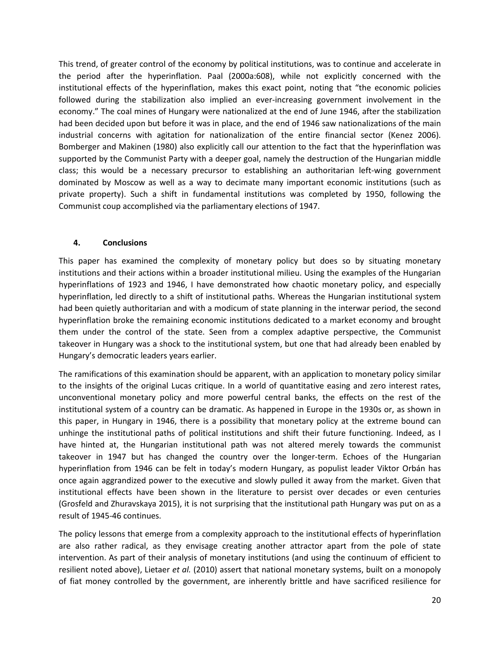This trend, of greater control of the economy by political institutions, was to continue and accelerate in the period after the hyperinflation. Paal (2000a:608), while not explicitly concerned with the institutional effects of the hyperinflation, makes this exact point, noting that "the economic policies followed during the stabilization also implied an ever-increasing government involvement in the economy." The coal mines of Hungary were nationalized at the end of June 1946, after the stabilization had been decided upon but before it was in place, and the end of 1946 saw nationalizations of the main industrial concerns with agitation for nationalization of the entire financial sector (Kenez 2006). Bomberger and Makinen (1980) also explicitly call our attention to the fact that the hyperinflation was supported by the Communist Party with a deeper goal, namely the destruction of the Hungarian middle class; this would be a necessary precursor to establishing an authoritarian left-wing government dominated by Moscow as well as a way to decimate many important economic institutions (such as private property). Such a shift in fundamental institutions was completed by 1950, following the Communist coup accomplished via the parliamentary elections of 1947.

### **4. Conclusions**

This paper has examined the complexity of monetary policy but does so by situating monetary institutions and their actions within a broader institutional milieu. Using the examples of the Hungarian hyperinflations of 1923 and 1946, I have demonstrated how chaotic monetary policy, and especially hyperinflation, led directly to a shift of institutional paths. Whereas the Hungarian institutional system had been quietly authoritarian and with a modicum of state planning in the interwar period, the second hyperinflation broke the remaining economic institutions dedicated to a market economy and brought them under the control of the state. Seen from a complex adaptive perspective, the Communist takeover in Hungary was a shock to the institutional system, but one that had already been enabled by Hungary's democratic leaders years earlier.

The ramifications of this examination should be apparent, with an application to monetary policy similar to the insights of the original Lucas critique. In a world of quantitative easing and zero interest rates, unconventional monetary policy and more powerful central banks, the effects on the rest of the institutional system of a country can be dramatic. As happened in Europe in the 1930s or, as shown in this paper, in Hungary in 1946, there is a possibility that monetary policy at the extreme bound can unhinge the institutional paths of political institutions and shift their future functioning. Indeed, as I have hinted at, the Hungarian institutional path was not altered merely towards the communist takeover in 1947 but has changed the country over the longer-term. Echoes of the Hungarian hyperinflation from 1946 can be felt in today's modern Hungary, as populist leader Viktor Orbán has once again aggrandized power to the executive and slowly pulled it away from the market. Given that institutional effects have been shown in the literature to persist over decades or even centuries (Grosfeld and Zhuravskaya 2015), it is not surprising that the institutional path Hungary was put on as a result of 1945-46 continues.

The policy lessons that emerge from a complexity approach to the institutional effects of hyperinflation are also rather radical, as they envisage creating another attractor apart from the pole of state intervention. As part of their analysis of monetary institutions (and using the continuum of efficient to resilient noted above), Lietaer *et al.* (2010) assert that national monetary systems, built on a monopoly of fiat money controlled by the government, are inherently brittle and have sacrificed resilience for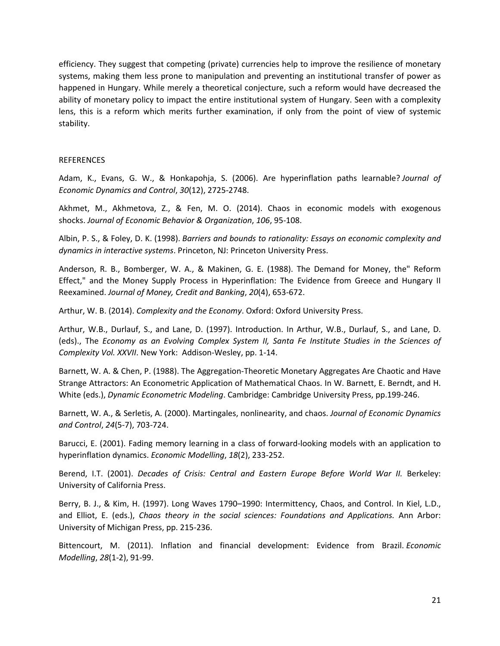efficiency. They suggest that competing (private) currencies help to improve the resilience of monetary systems, making them less prone to manipulation and preventing an institutional transfer of power as happened in Hungary. While merely a theoretical conjecture, such a reform would have decreased the ability of monetary policy to impact the entire institutional system of Hungary. Seen with a complexity lens, this is a reform which merits further examination, if only from the point of view of systemic stability.

### **REFERENCES**

Adam, K., Evans, G. W., & Honkapohja, S. (2006). Are hyperinflation paths learnable? *Journal of Economic Dynamics and Control*, *30*(12), 2725-2748.

Akhmet, M., Akhmetova, Z., & Fen, M. O. (2014). Chaos in economic models with exogenous shocks. *Journal of Economic Behavior & Organization*, *106*, 95-108.

Albin, P. S., & Foley, D. K. (1998). *Barriers and bounds to rationality: Essays on economic complexity and dynamics in interactive systems*. Princeton, NJ: Princeton University Press.

Anderson, R. B., Bomberger, W. A., & Makinen, G. E. (1988). The Demand for Money, the" Reform Effect," and the Money Supply Process in Hyperinflation: The Evidence from Greece and Hungary II Reexamined. *Journal of Money, Credit and Banking*, *20*(4), 653-672.

Arthur, W. B. (2014). *Complexity and the Economy*. Oxford: Oxford University Press.

Arthur, W.B., Durlauf, S., and Lane, D. (1997). Introduction. In Arthur, W.B., Durlauf, S., and Lane, D. (eds)., The *Economy as an Evolving Complex System II, Santa Fe Institute Studies in the Sciences of Complexity Vol. XXVII*. New York: Addison-Wesley, pp. 1-14.

Barnett, W. A. & Chen, P. (1988). The Aggregation-Theoretic Monetary Aggregates Are Chaotic and Have Strange Attractors: An Econometric Application of Mathematical Chaos. In W. Barnett, E. Berndt, and H. White (eds.), *Dynamic Econometric Modeling*. Cambridge: Cambridge University Press, pp.199-246.

Barnett, W. A., & Serletis, A. (2000). Martingales, nonlinearity, and chaos. *Journal of Economic Dynamics and Control*, *24*(5-7), 703-724.

Barucci, E. (2001). Fading memory learning in a class of forward-looking models with an application to hyperinflation dynamics. *Economic Modelling*, *18*(2), 233-252.

Berend, I.T. (2001). *Decades of Crisis: Central and Eastern Europe Before World War II.* Berkeley: University of California Press.

Berry, B. J., & Kim, H. (1997). Long Waves 1790–1990: Intermittency, Chaos, and Control. In Kiel, L.D., and Elliot, E. (eds.), *Chaos theory in the social sciences: Foundations and Applications.* Ann Arbor: University of Michigan Press, pp. 215-236.

Bittencourt, M. (2011). Inflation and financial development: Evidence from Brazil. *Economic Modelling*, *28*(1-2), 91-99.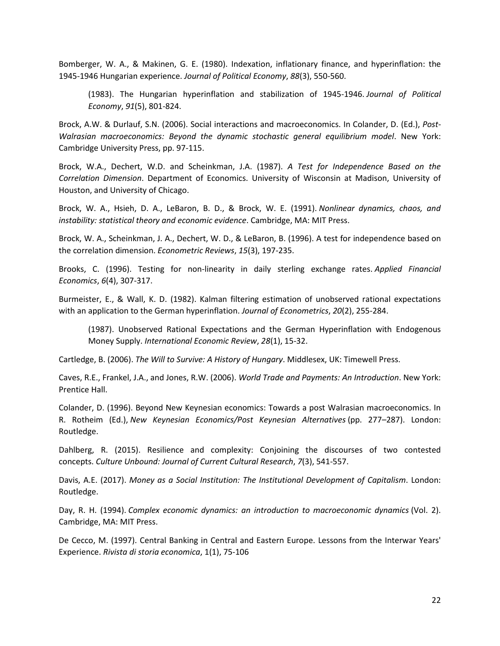Bomberger, W. A., & Makinen, G. E. (1980). Indexation, inflationary finance, and hyperinflation: the 1945-1946 Hungarian experience. *Journal of Political Economy*, *88*(3), 550-560.

(1983). The Hungarian hyperinflation and stabilization of 1945-1946. *Journal of Political Economy*, *91*(5), 801-824.

Brock, A.W. & Durlauf, S.N. (2006). Social interactions and macroeconomics. In Colander, D. (Ed.), *Post-Walrasian macroeconomics: Beyond the dynamic stochastic general equilibrium model*. New York: Cambridge University Press, pp. 97-115.

Brock, W.A., Dechert, W.D. and Scheinkman, J.A. (1987). *A Test for Independence Based on the Correlation Dimension*. Department of Economics. University of Wisconsin at Madison, University of Houston, and University of Chicago.

Brock, W. A., Hsieh, D. A., LeBaron, B. D., & Brock, W. E. (1991). *Nonlinear dynamics, chaos, and instability: statistical theory and economic evidence*. Cambridge, MA: MIT Press.

Brock, W. A., Scheinkman, J. A., Dechert, W. D., & LeBaron, B. (1996). A test for independence based on the correlation dimension. *Econometric Reviews*, *15*(3), 197-235.

Brooks, C. (1996). Testing for non-linearity in daily sterling exchange rates. *Applied Financial Economics*, *6*(4), 307-317.

Burmeister, E., & Wall, K. D. (1982). Kalman filtering estimation of unobserved rational expectations with an application to the German hyperinflation. *Journal of Econometrics*, *20*(2), 255-284.

(1987). Unobserved Rational Expectations and the German Hyperinflation with Endogenous Money Supply. *International Economic Review*, *28*(1), 15-32.

Cartledge, B. (2006). *The Will to Survive: A History of Hungary*. Middlesex, UK: Timewell Press.

Caves, R.E., Frankel, J.A., and Jones, R.W. (2006). *World Trade and Payments: An Introduction*. New York: Prentice Hall.

Colander, D. (1996). Beyond New Keynesian economics: Towards a post Walrasian macroeconomics. In R. Rotheim (Ed.), *New Keynesian Economics/Post Keynesian Alternatives* (pp. 277–287). London: Routledge.

Dahlberg, R. (2015). Resilience and complexity: Conjoining the discourses of two contested concepts. *Culture Unbound: Journal of Current Cultural Research*, *7*(3), 541-557.

Davis, A.E. (2017). *Money as a Social Institution: The Institutional Development of Capitalism*. London: Routledge.

Day, R. H. (1994). *Complex economic dynamics: an introduction to macroeconomic dynamics* (Vol. 2). Cambridge, MA: MIT Press.

De Cecco, M. (1997). Central Banking in Central and Eastern Europe. Lessons from the Interwar Years' Experience. *Rivista di storia economica*, 1(1), 75-106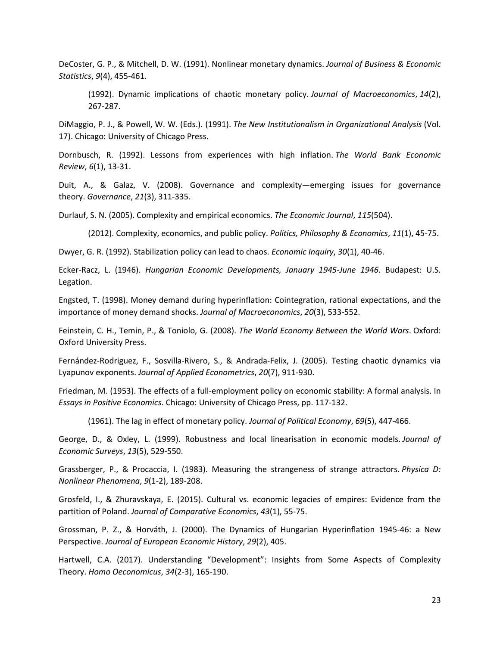DeCoster, G. P., & Mitchell, D. W. (1991). Nonlinear monetary dynamics. *Journal of Business & Economic Statistics*, *9*(4), 455-461.

(1992). Dynamic implications of chaotic monetary policy. *Journal of Macroeconomics*, *14*(2), 267-287.

DiMaggio, P. J., & Powell, W. W. (Eds.). (1991). *The New Institutionalism in Organizational Analysis* (Vol. 17). Chicago: University of Chicago Press.

Dornbusch, R. (1992). Lessons from experiences with high inflation. *The World Bank Economic Review*, *6*(1), 13-31.

Duit, A., & Galaz, V. (2008). Governance and complexity—emerging issues for governance theory. *Governance*, *21*(3), 311-335.

Durlauf, S. N. (2005). Complexity and empirical economics. *The Economic Journal*, *115*(504).

(2012). Complexity, economics, and public policy. *Politics, Philosophy & Economics*, *11*(1), 45-75.

Dwyer, G. R. (1992). Stabilization policy can lead to chaos. *Economic Inquiry*, *30*(1), 40-46.

Ecker-Racz, L. (1946). *Hungarian Economic Developments, January 1945-June 1946*. Budapest: U.S. Legation.

Engsted, T. (1998). Money demand during hyperinflation: Cointegration, rational expectations, and the importance of money demand shocks. *Journal of Macroeconomics*, *20*(3), 533-552.

Feinstein, C. H., Temin, P., & Toniolo, G. (2008). *The World Economy Between the World Wars*. Oxford: Oxford University Press.

Fernández-Rodriguez, F., Sosvilla-Rivero, S., & Andrada-Felix, J. (2005). Testing chaotic dynamics via Lyapunov exponents. *Journal of Applied Econometrics*, *20*(7), 911-930.

Friedman, M. (1953). The effects of a full-employment policy on economic stability: A formal analysis. In *Essays in Positive Economics*. Chicago: University of Chicago Press, pp. 117-132.

(1961). The lag in effect of monetary policy. *Journal of Political Economy*, *69*(5), 447-466.

George, D., & Oxley, L. (1999). Robustness and local linearisation in economic models. *Journal of Economic Surveys*, *13*(5), 529-550.

Grassberger, P., & Procaccia, I. (1983). Measuring the strangeness of strange attractors. *Physica D: Nonlinear Phenomena*, *9*(1-2), 189-208.

Grosfeld, I., & Zhuravskaya, E. (2015). Cultural vs. economic legacies of empires: Evidence from the partition of Poland. *Journal of Comparative Economics*, *43*(1), 55-75.

Grossman, P. Z., & Horváth, J. (2000). The Dynamics of Hungarian Hyperinflation 1945-46: a New Perspective. *Journal of European Economic History*, *29*(2), 405.

Hartwell, C.A. (2017). Understanding "Development": Insights from Some Aspects of Complexity Theory. *Homo Oeconomicus*, *34*(2-3), 165-190.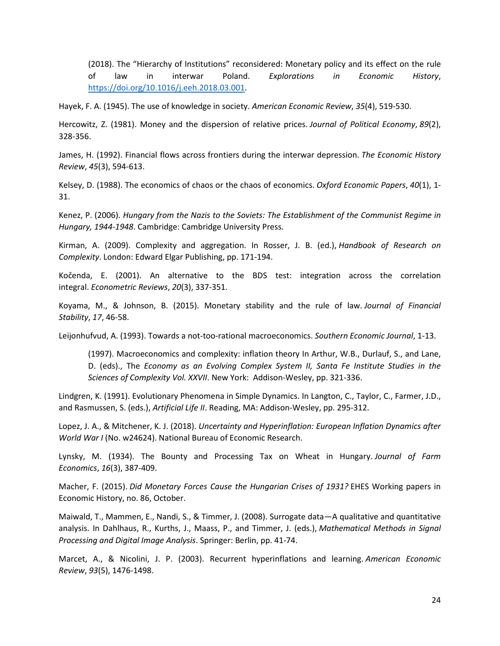(2018). The "Hierarchy of Institutions" reconsidered: Monetary policy and its effect on the rule of law in interwar Poland. *Explorations in Economic History*, [https://doi.org/10.1016/j.eeh.2018.03.001.](https://doi.org/10.1016/j.eeh.2018.03.001)

Hayek, F. A. (1945). The use of knowledge in society. *American Economic Review*, *35*(4), 519-530.

Hercowitz, Z. (1981). Money and the dispersion of relative prices. *Journal of Political Economy*, *89*(2), 328-356.

James, H. (1992). Financial flows across frontiers during the interwar depression. *The Economic History Review*, *45*(3), 594-613.

Kelsey, D. (1988). The economics of chaos or the chaos of economics. *Oxford Economic Papers*, *40*(1), 1- 31.

Kenez, P. (2006). *Hungary from the Nazis to the Soviets: The Establishment of the Communist Regime in Hungary, 1944-1948*. Cambridge: Cambridge University Press.

Kirman, A. (2009). Complexity and aggregation. In Rosser, J. B. (ed.), *Handbook of Research on Complexity*. London: Edward Elgar Publishing, pp. 171-194.

Kočenda, E. (2001). An alternative to the BDS test: integration across the correlation integral. *Econometric Reviews*, *20*(3), 337-351.

Koyama, M., & Johnson, B. (2015). Monetary stability and the rule of law. *Journal of Financial Stability*, *17*, 46-58.

Leijonhufvud, A. (1993). Towards a not-too-rational macroeconomics. *Southern Economic Journal*, 1-13.

(1997). Macroeconomics and complexity: inflation theory In Arthur, W.B., Durlauf, S., and Lane, D. (eds)., The *Economy as an Evolving Complex System II, Santa Fe Institute Studies in the Sciences of Complexity Vol. XXVII*. New York: Addison-Wesley, pp. 321-336.

Lindgren, K. (1991). Evolutionary Phenomena in Simple Dynamics. In Langton, C., Taylor, C., Farmer, J.D., and Rasmussen, S. (eds.), *Artificial Life II*. Reading, MA: Addison-Wesley, pp. 295-312.

Lopez, J. A., & Mitchener, K. J. (2018). *Uncertainty and Hyperinflation: European Inflation Dynamics after World War I* (No. w24624). National Bureau of Economic Research.

Lynsky, M. (1934). The Bounty and Processing Tax on Wheat in Hungary. *Journal of Farm Economics*, *16*(3), 387-409.

Macher, F. (2015). *Did Monetary Forces Cause the Hungarian Crises of 1931?* EHES Working papers in Economic History, no. 86, October.

Maiwald, T., Mammen, E., Nandi, S., & Timmer, J. (2008). Surrogate data—A qualitative and quantitative analysis. In Dahlhaus, R., Kurths, J., Maass, P., and Timmer, J. (eds.), *Mathematical Methods in Signal Processing and Digital Image Analysis*. Springer: Berlin, pp. 41-74.

Marcet, A., & Nicolini, J. P. (2003). Recurrent hyperinflations and learning. *American Economic Review*, *93*(5), 1476-1498.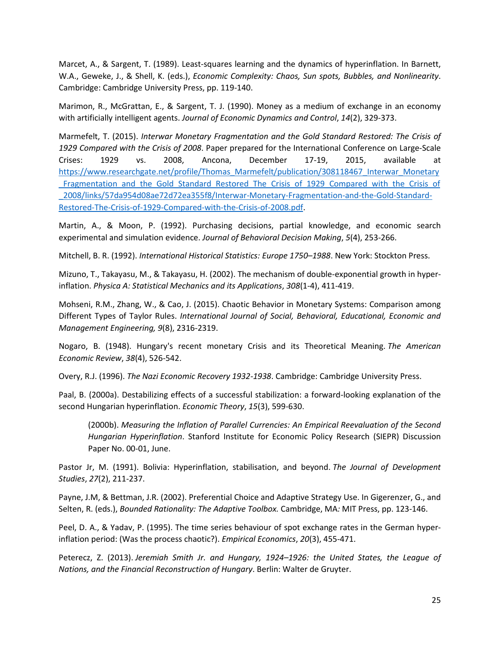Marcet, A., & Sargent, T. (1989). Least-squares learning and the dynamics of hyperinflation. In Barnett, W.A., Geweke, J., & Shell, K. (eds.), *Economic Complexity: Chaos, Sun spots, Bubbles, and Nonlinearity*. Cambridge: Cambridge University Press, pp. 119-140.

Marimon, R., McGrattan, E., & Sargent, T. J. (1990). Money as a medium of exchange in an economy with artificially intelligent agents. *Journal of Economic Dynamics and Control*, *14*(2), 329-373.

Marmefelt, T. (2015). *Interwar Monetary Fragmentation and the Gold Standard Restored: The Crisis of 1929 Compared with the Crisis of 2008*. Paper prepared for the International Conference on Large-Scale Crises: 1929 vs. 2008, Ancona, December 17-19, 2015, available at [https://www.researchgate.net/profile/Thomas\\_Marmefelt/publication/308118467\\_Interwar\\_Monetary](https://www.researchgate.net/profile/Thomas_Marmefelt/publication/308118467_Interwar_Monetary_Fragmentation_and_the_Gold_Standard_Restored_The_Crisis_of_1929_Compared_with_the_Crisis_of_2008/links/57da954d08ae72d72ea355f8/Interwar-Monetary-Fragmentation-and-the-Gold-Standard-Restored-The-Crisis-of-1929-Compared-with-the-Crisis-of-2008.pdf) LFragmentation and the Gold Standard Restored The Crisis of 1929 Compared with the Crisis of [\\_2008/links/57da954d08ae72d72ea355f8/Interwar-Monetary-Fragmentation-and-the-Gold-Standard-](https://www.researchgate.net/profile/Thomas_Marmefelt/publication/308118467_Interwar_Monetary_Fragmentation_and_the_Gold_Standard_Restored_The_Crisis_of_1929_Compared_with_the_Crisis_of_2008/links/57da954d08ae72d72ea355f8/Interwar-Monetary-Fragmentation-and-the-Gold-Standard-Restored-The-Crisis-of-1929-Compared-with-the-Crisis-of-2008.pdf)[Restored-The-Crisis-of-1929-Compared-with-the-Crisis-of-2008.pdf.](https://www.researchgate.net/profile/Thomas_Marmefelt/publication/308118467_Interwar_Monetary_Fragmentation_and_the_Gold_Standard_Restored_The_Crisis_of_1929_Compared_with_the_Crisis_of_2008/links/57da954d08ae72d72ea355f8/Interwar-Monetary-Fragmentation-and-the-Gold-Standard-Restored-The-Crisis-of-1929-Compared-with-the-Crisis-of-2008.pdf)

Martin, A., & Moon, P. (1992). Purchasing decisions, partial knowledge, and economic search experimental and simulation evidence. *Journal of Behavioral Decision Making*, *5*(4), 253-266.

Mitchell, B. R. (1992). *International Historical Statistics: Europe 1750–1988*. New York: Stockton Press.

Mizuno, T., Takayasu, M., & Takayasu, H. (2002). The mechanism of double-exponential growth in hyperinflation. *Physica A: Statistical Mechanics and its Applications*, *308*(1-4), 411-419.

Mohseni, R.M., Zhang, W., & Cao, J. (2015). Chaotic Behavior in Monetary Systems: Comparison among Different Types of Taylor Rules. *International Journal of Social, Behavioral, Educational, Economic and Management Engineering, 9*(8), 2316-2319.

Nogaro, B. (1948). Hungary's recent monetary Crisis and its Theoretical Meaning. *The American Economic Review*, *38*(4), 526-542.

Overy, R.J. (1996). *The Nazi Economic Recovery 1932-1938*. Cambridge: Cambridge University Press.

Paal, B. (2000a). Destabilizing effects of a successful stabilization: a forward-looking explanation of the second Hungarian hyperinflation. *Economic Theory*, *15*(3), 599-630.

(2000b). *Measuring the Inflation of Parallel Currencies: An Empirical Reevaluation of the Second Hungarian Hyperinflation*. Stanford Institute for Economic Policy Research (SIEPR) Discussion Paper No. 00-01, June.

Pastor Jr, M. (1991). Bolivia: Hyperinflation, stabilisation, and beyond. *The Journal of Development Studies*, *27*(2), 211-237.

Payne, J.M, & Bettman, J.R. (2002). Preferential Choice and Adaptive Strategy Use. In Gigerenzer, G., and Selten, R. (eds.), *Bounded Rationality: The Adaptive Toolbox.* Cambridge, MA*:* MIT Press, pp. 123-146.

Peel, D. A., & Yadav, P. (1995). The time series behaviour of spot exchange rates in the German hyperinflation period: (Was the process chaotic?). *Empirical Economics*, *20*(3), 455-471.

Peterecz, Z. (2013). *Jeremiah Smith Jr. and Hungary, 1924–1926: the United States, the League of Nations, and the Financial Reconstruction of Hungary*. Berlin: Walter de Gruyter.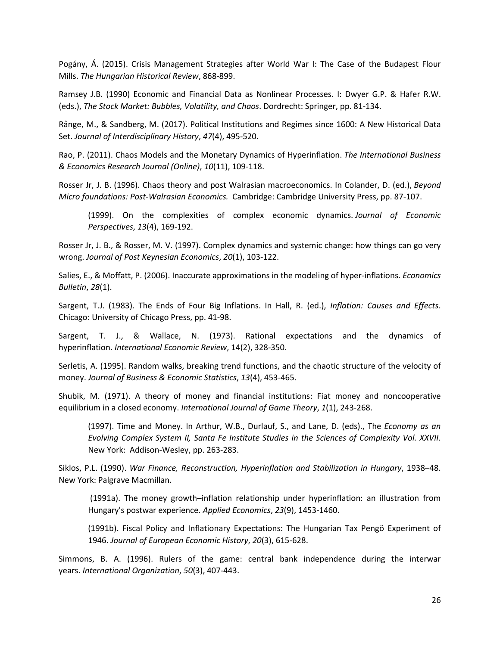Pogány, Á. (2015). Crisis Management Strategies after World War I: The Case of the Budapest Flour Mills. *The Hungarian Historical Review*, 868-899.

Ramsey J.B. (1990) Economic and Financial Data as Nonlinear Processes. I: Dwyer G.P. & Hafer R.W. (eds.), *The Stock Market: Bubbles, Volatility, and Chaos*. Dordrecht: Springer, pp. 81-134.

Rånge, M., & Sandberg, M. (2017). Political Institutions and Regimes since 1600: A New Historical Data Set. *Journal of Interdisciplinary History*, *47*(4), 495-520.

Rao, P. (2011). Chaos Models and the Monetary Dynamics of Hyperinflation. *The International Business & Economics Research Journal (Online)*, *10*(11), 109-118.

Rosser Jr, J. B. (1996). Chaos theory and post Walrasian macroeconomics. In Colander, D. (ed.), *Beyond Micro foundations: Post-Walrasian Economics.* Cambridge: Cambridge University Press, pp. 87-107.

(1999). On the complexities of complex economic dynamics. *Journal of Economic Perspectives*, *13*(4), 169-192.

Rosser Jr, J. B., & Rosser, M. V. (1997). Complex dynamics and systemic change: how things can go very wrong. *Journal of Post Keynesian Economics*, *20*(1), 103-122.

Salies, E., & Moffatt, P. (2006). Inaccurate approximations in the modeling of hyper-inflations. *Economics Bulletin*, *28*(1).

Sargent, T.J. (1983). The Ends of Four Big Inflations. In Hall, R. (ed.), *Inflation: Causes and Effects*. Chicago: University of Chicago Press, pp. 41-98.

Sargent, T. J., & Wallace, N. (1973). Rational expectations and the dynamics of hyperinflation. *International Economic Review*, 14(2), 328-350.

Serletis, A. (1995). Random walks, breaking trend functions, and the chaotic structure of the velocity of money. *Journal of Business & Economic Statistics*, *13*(4), 453-465.

Shubik, M. (1971). A theory of money and financial institutions: Fiat money and noncooperative equilibrium in a closed economy. *International Journal of Game Theory*, *1*(1), 243-268.

(1997). Time and Money. In Arthur, W.B., Durlauf, S., and Lane, D. (eds)., The *Economy as an Evolving Complex System II, Santa Fe Institute Studies in the Sciences of Complexity Vol. XXVII*. New York: Addison-Wesley, pp. 263-283.

Siklos, P.L. (1990). *War Finance, Reconstruction, Hyperinflation and Stabilization in Hungary*, 1938–48. New York: Palgrave Macmillan.

(1991a). The money growth–inflation relationship under hyperinflation: an illustration from Hungary's postwar experience. *Applied Economics*, *23*(9), 1453-1460.

(1991b). Fiscal Policy and Inflationary Expectations: The Hungarian Tax Pengö Experiment of 1946. *Journal of European Economic History*, *20*(3), 615-628.

Simmons, B. A. (1996). Rulers of the game: central bank independence during the interwar years. *International Organization*, *50*(3), 407-443.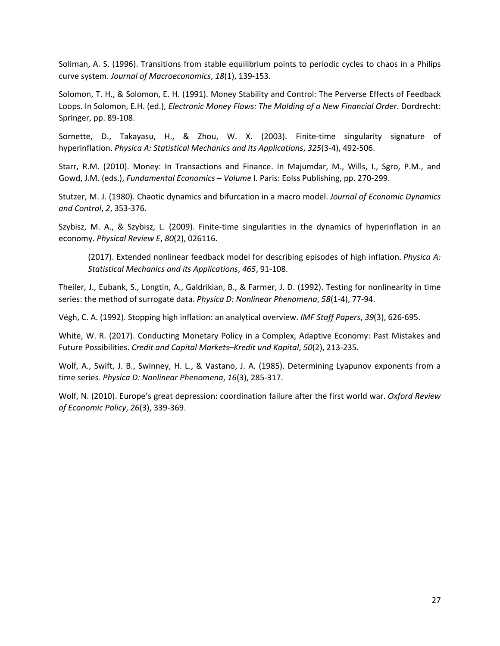Soliman, A. S. (1996). Transitions from stable equilibrium points to periodic cycles to chaos in a Philips curve system. *Journal of Macroeconomics*, *18*(1), 139-153.

Solomon, T. H., & Solomon, E. H. (1991). Money Stability and Control: The Perverse Effects of Feedback Loops. In Solomon, E.H. (ed.), *Electronic Money Flows: The Molding of a New Financial Order*. Dordrecht: Springer, pp. 89-108.

Sornette, D., Takayasu, H., & Zhou, W. X. (2003). Finite-time singularity signature of hyperinflation. *Physica A: Statistical Mechanics and its Applications*, *325*(3-4), 492-506.

Starr, R.M. (2010). Money: In Transactions and Finance. In Majumdar, M., Wills, I., Sgro, P.M., and Gowd, J.M. (eds.), *Fundamental Economics – Volume* I. Paris: Eolss Publishing, pp. 270-299.

Stutzer, M. J. (1980). Chaotic dynamics and bifurcation in a macro model. *Journal of Economic Dynamics and Control*, *2*, 353-376.

Szybisz, M. A., & Szybisz, L. (2009). Finite-time singularities in the dynamics of hyperinflation in an economy. *Physical Review E*, *80*(2), 026116.

(2017). Extended nonlinear feedback model for describing episodes of high inflation. *Physica A: Statistical Mechanics and its Applications*, *465*, 91-108.

Theiler, J., Eubank, S., Longtin, A., Galdrikian, B., & Farmer, J. D. (1992). Testing for nonlinearity in time series: the method of surrogate data. *Physica D: Nonlinear Phenomena*, *58*(1-4), 77-94.

Végh, C. A. (1992). Stopping high inflation: an analytical overview. *IMF Staff Papers*, *39*(3), 626-695.

White, W. R. (2017). Conducting Monetary Policy in a Complex, Adaptive Economy: Past Mistakes and Future Possibilities. *Credit and Capital Markets–Kredit und Kapital*, *50*(2), 213-235.

Wolf, A., Swift, J. B., Swinney, H. L., & Vastano, J. A. (1985). Determining Lyapunov exponents from a time series. *Physica D: Nonlinear Phenomena*, *16*(3), 285-317.

Wolf, N. (2010). Europe's great depression: coordination failure after the first world war. *Oxford Review of Economic Policy*, *26*(3), 339-369.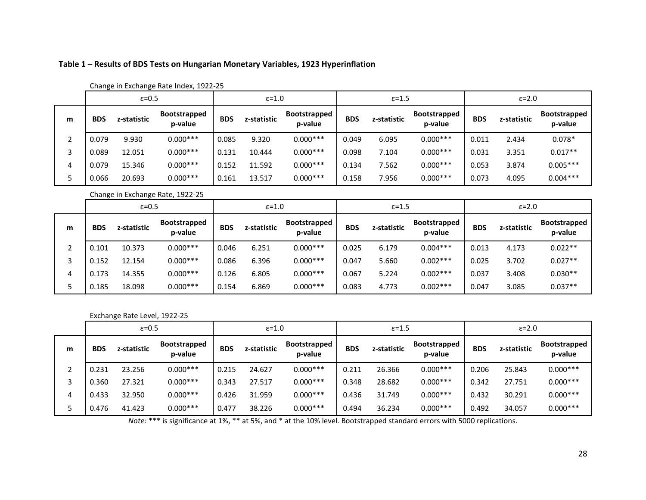## **Table 1 – Results of BDS Tests on Hungarian Monetary Variables, 1923 Hyperinflation**

|   |            | $\varepsilon = 0.5$ |                         | $\epsilon = 1.0$ |             |                                | $\epsilon$ =1.5 |             |                                | $\epsilon = 2.0$ |             |                                |
|---|------------|---------------------|-------------------------|------------------|-------------|--------------------------------|-----------------|-------------|--------------------------------|------------------|-------------|--------------------------------|
| m | <b>BDS</b> | z-statistic         | Bootstrapped<br>p-value | <b>BDS</b>       | z-statistic | <b>Bootstrapped</b><br>p-value | <b>BDS</b>      | z-statistic | <b>Bootstrapped</b><br>p-value | <b>BDS</b>       | z-statistic | <b>Bootstrapped</b><br>p-value |
| ำ | 0.079      | 9.930               | $0.000***$              | 0.085            | 9.320       | $0.000***$                     | 0.049           | 6.095       | $0.000***$                     | 0.011            | 2.434       | $0.078*$                       |
| 3 | 0.089      | 12.051              | $0.000***$              | 0.131            | 10.444      | $0.000***$                     | 0.098           | 7.104       | $0.000***$                     | 0.031            | 3.351       | $0.017**$                      |
|   | 0.079      | 15.346              | $0.000***$              | 0.152            | 11.592      | $0.000***$                     | 0.134           | 7.562       | $0.000***$                     | 0.053            | 3.874       | $0.005***$                     |
|   | 0.066      | 20.693              | $0.000***$              | 0.161            | 13.517      | $0.000***$                     | 0.158           | 7.956       | $0.000***$                     | 0.073            | 4.095       | $0.004***$                     |

### Change in Exchange Rate Index, 1922-25

Change in Exchange Rate, 1922-25

|   | $\varepsilon = 0.5$ |             |                                | $\epsilon = 1.0$ |             |                                | $\epsilon = 1.5$ |             |                                | $\epsilon = 2.0$ |             |                         |
|---|---------------------|-------------|--------------------------------|------------------|-------------|--------------------------------|------------------|-------------|--------------------------------|------------------|-------------|-------------------------|
| m | <b>BDS</b>          | z-statistic | <b>Bootstrapped</b><br>p-value | <b>BDS</b>       | z-statistic | <b>Bootstrapped</b><br>p-value | <b>BDS</b>       | z-statistic | <b>Bootstrapped</b><br>p-value | <b>BDS</b>       | z-statistic | Bootstrapped<br>p-value |
|   | 0.101               | 10.373      | $0.000***$                     | 0.046            | 6.251       | $0.000***$                     | 0.025            | 6.179       | $0.004***$                     | 0.013            | 4.173       | $0.022**$               |
|   | 0.152               | 12.154      | $0.000***$                     | 0.086            | 6.396       | $0.000***$                     | 0.047            | 5.660       | $0.002***$                     | 0.025            | 3.702       | $0.027**$               |
|   | 0.173               | 14.355      | $0.000***$                     | 0.126            | 6.805       | $0.000***$                     | 0.067            | 5.224       | $0.002***$                     | 0.037            | 3.408       | $0.030**$               |
|   | 0.185               | 18.098      | $0.000***$                     | 0.154            | 6.869       | $0.000***$                     | 0.083            | 4.773       | $0.002***$                     | 0.047            | 3.085       | $0.037**$               |

### Exchange Rate Level, 1922-25

|   | $\epsilon = 0.5$ |             |                         | $\varepsilon = 1.0$ |             |                                | $\epsilon = 1.5$ |             |                                | $\epsilon = 2.0$ |             |                                |
|---|------------------|-------------|-------------------------|---------------------|-------------|--------------------------------|------------------|-------------|--------------------------------|------------------|-------------|--------------------------------|
| m | <b>BDS</b>       | z-statistic | Bootstrapped<br>p-value | <b>BDS</b>          | z-statistic | <b>Bootstrapped</b><br>p-value | <b>BDS</b>       | z-statistic | <b>Bootstrapped</b><br>p-value | <b>BDS</b>       | z-statistic | <b>Bootstrapped</b><br>p-value |
| ำ | 0.231            | 23.256      | $0.000***$              | 0.215               | 24.627      | $0.000***$                     | 0.211            | 26.366      | $0.000***$                     | 0.206            | 25.843      | $0.000***$                     |
|   | 0.360            | 27.321      | $0.000***$              | 0.343               | 27.517      | $0.000***$                     | 0.348            | 28.682      | $0.000***$                     | 0.342            | 27.751      | $0.000***$                     |
| 4 | 0.433            | 32.950      | $0.000***$              | 0.426               | 31.959      | $0.000***$                     | 0.436            | 31.749      | $0.000***$                     | 0.432            | 30.291      | $0.000***$                     |
|   | 0.476            | 41.423      | $0.000***$              | 0.477               | 38.226      | $0.000***$                     | 0.494            | 36.234      | $0.000***$                     | 0.492            | 34.057      | $0.000***$                     |

*Note:* \*\*\* is significance at 1%, \*\* at 5%, and \* at the 10% level. Bootstrapped standard errors with 5000 replications.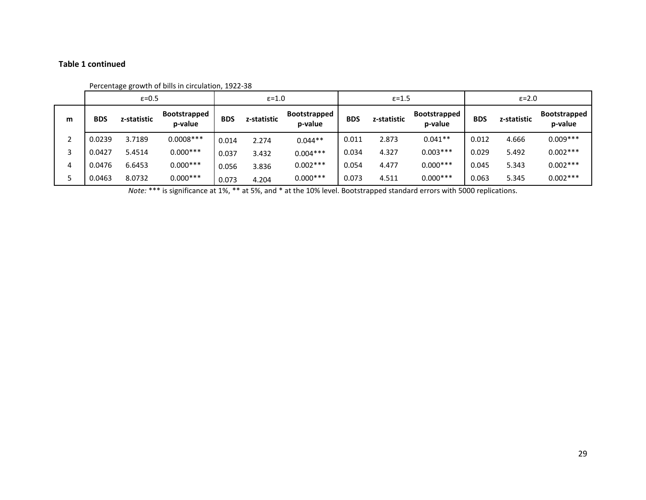# **Table 1 continued**

|          |            | $\epsilon = 0.5$ |                                |            | $\epsilon = 1.0$ |                                |            | $\epsilon = 1.5$ |                         |            | $\epsilon = 2.0$ |                                |
|----------|------------|------------------|--------------------------------|------------|------------------|--------------------------------|------------|------------------|-------------------------|------------|------------------|--------------------------------|
| m        | <b>BDS</b> | z-statistic      | <b>Bootstrapped</b><br>p-value | <b>BDS</b> | z-statistic      | <b>Bootstrapped</b><br>p-value | <b>BDS</b> | z-statistic      | Bootstrapped<br>p-value | <b>BDS</b> | z-statistic      | <b>Bootstrapped</b><br>p-value |
| <b>C</b> | 0.0239     | 3.7189           | $0.0008***$                    | 0.014      | 2.274            | $0.044**$                      | 0.011      | 2.873            | $0.041**$               | 0.012      | 4.666            | $0.009***$                     |
| 3        | 0.0427     | 5.4514           | $0.000***$                     | 0.037      | 3.432            | $0.004***$                     | 0.034      | 4.327            | $0.003***$              | 0.029      | 5.492            | $0.002***$                     |
| 4        | 0.0476     | 6.6453           | $0.000***$                     | 0.056      | 3.836            | $0.002***$                     | 0.054      | 4.477            | $0.000***$              | 0.045      | 5.343            | $0.002***$                     |
| 5        | 0.0463     | 8.0732           | $0.000***$                     | 0.073      | 4.204            | $0.000***$                     | 0.073      | 4.511            | $0.000***$              | 0.063      | 5.345            | $0.002***$                     |

### Percentage growth of bills in circulation, 1922-38

*Note:* \*\*\* is significance at 1%, \*\* at 5%, and \* at the 10% level. Bootstrapped standard errors with 5000 replications.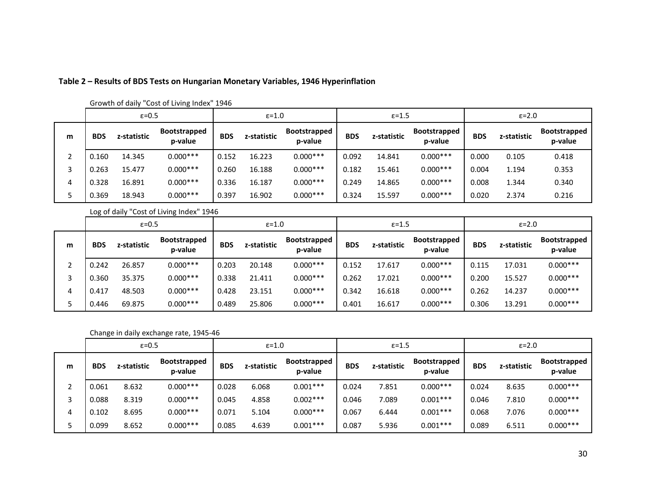|   | $\varepsilon = 0.5$ |             |                                | $\epsilon = 1.0$ |             |                                | $\epsilon$ =1.5 |             |                                | $\epsilon = 2.0$ |             |                                |
|---|---------------------|-------------|--------------------------------|------------------|-------------|--------------------------------|-----------------|-------------|--------------------------------|------------------|-------------|--------------------------------|
| m | <b>BDS</b>          | z-statistic | <b>Bootstrapped</b><br>p-value | <b>BDS</b>       | z-statistic | <b>Bootstrapped</b><br>p-value | <b>BDS</b>      | z-statistic | <b>Bootstrapped</b><br>p-value | <b>BDS</b>       | z-statistic | <b>Bootstrapped</b><br>p-value |
|   | 0.160               | 14.345      | $0.000***$                     | 0.152            | 16.223      | $0.000***$                     | 0.092           | 14.841      | $0.000***$                     | 0.000            | 0.105       | 0.418                          |
|   | 0.263               | 15.477      | $0.000***$                     | 0.260            | 16.188      | $0.000***$                     | 0.182           | 15.461      | $0.000***$                     | 0.004            | 1.194       | 0.353                          |
| 4 | 0.328               | 16.891      | $0.000***$                     | 0.336            | 16.187      | $0.000***$                     | 0.249           | 14.865      | $0.000***$                     | 0.008            | 1.344       | 0.340                          |
|   | 0.369               | 18.943      | $0.000***$                     | 0.397            | 16.902      | $0.000***$                     | 0.324           | 15.597      | $0.000***$                     | 0.020            | 2.374       | 0.216                          |

# **Table 2 – Results of BDS Tests on Hungarian Monetary Variables, 1946 Hyperinflation**

Growth of daily "Cost of Living Index" 1946

Log of daily "Cost of Living Index" 1946

|   | $\epsilon = 0.5$ |             |                                | $\epsilon = 1.0$ |             |                                | $\epsilon$ =1.5 |             |                                | $\epsilon = 2.0$ |             |                                |
|---|------------------|-------------|--------------------------------|------------------|-------------|--------------------------------|-----------------|-------------|--------------------------------|------------------|-------------|--------------------------------|
| m | <b>BDS</b>       | z-statistic | <b>Bootstrapped</b><br>p-value | <b>BDS</b>       | z-statistic | <b>Bootstrapped</b><br>p-value | <b>BDS</b>      | z-statistic | <b>Bootstrapped</b><br>p-value | <b>BDS</b>       | z-statistic | <b>Bootstrapped</b><br>p-value |
|   | 0.242            | 26.857      | $0.000***$                     | 0.203            | 20.148      | $0.000***$                     | 0.152           | 17.617      | $0.000***$                     | 0.115            | 17.031      | $0.000***$                     |
|   | 0.360            | 35.375      | $0.000***$                     | 0.338            | 21.411      | $0.000***$                     | 0.262           | 17.021      | $0.000***$                     | 0.200            | 15.527      | $0.000***$                     |
| 4 | 0.417            | 48.503      | $0.000***$                     | 0.428            | 23.151      | $0.000***$                     | 0.342           | 16.618      | $0.000***$                     | 0.262            | 14.237      | $0.000***$                     |
|   | 0.446            | 69.875      | $0.000***$                     | 0.489            | 25.806      | $0.000***$                     | 0.401           | 16.617      | $0.000***$                     | 0.306            | 13.291      | $0.000***$                     |

Change in daily exchange rate, 1945-46

|   | $\varepsilon = 0.5$ |             |                                | $\epsilon = 1.0$ |             |                                | $\epsilon$ =1.5 |             |                                | $\epsilon = 2.0$ |             |                         |
|---|---------------------|-------------|--------------------------------|------------------|-------------|--------------------------------|-----------------|-------------|--------------------------------|------------------|-------------|-------------------------|
| m | <b>BDS</b>          | z-statistic | <b>Bootstrapped</b><br>p-value | <b>BDS</b>       | z-statistic | <b>Bootstrapped</b><br>p-value | <b>BDS</b>      | z-statistic | <b>Bootstrapped</b><br>p-value | <b>BDS</b>       | z-statistic | Bootstrapped<br>p-value |
|   | 0.061               | 8.632       | $0.000***$                     | 0.028            | 6.068       | $0.001***$                     | 0.024           | 7.851       | $0.000***$                     | 0.024            | 8.635       | $0.000***$              |
|   | 0.088               | 8.319       | $0.000***$                     | 0.045            | 4.858       | $0.002***$                     | 0.046           | 7.089       | $0.001***$                     | 0.046            | 7.810       | $0.000***$              |
| 4 | 0.102               | 8.695       | $0.000***$                     | 0.071            | 5.104       | $0.000***$                     | 0.067           | 6.444       | $0.001***$                     | 0.068            | 7.076       | $0.000***$              |
|   | 0.099               | 8.652       | $0.000***$                     | 0.085            | 4.639       | $0.001***$                     | 0.087           | 5.936       | $0.001***$                     | 0.089            | 6.511       | $0.000***$              |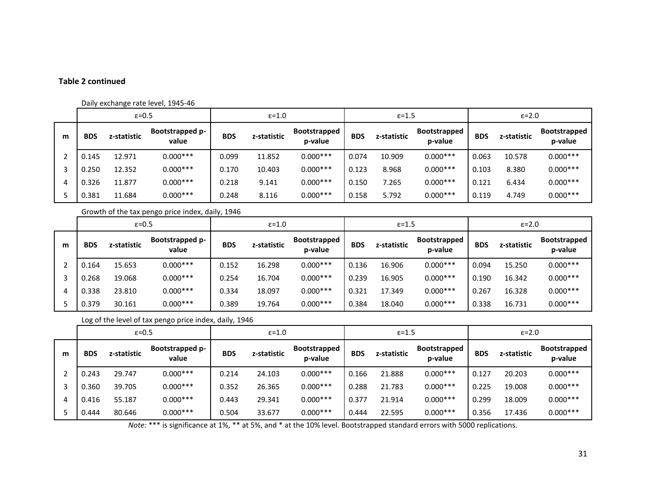### **Table 2 continued**

#### Daily exchange rate level, 1945-46

|   | $\varepsilon = 0.5$ |             |                          | $\epsilon = 1.0$ |             |                                | $\epsilon$ =1.5 |             |                                | $\epsilon = 2.0$ |             |                                |
|---|---------------------|-------------|--------------------------|------------------|-------------|--------------------------------|-----------------|-------------|--------------------------------|------------------|-------------|--------------------------------|
| m | <b>BDS</b>          | z-statistic | Bootstrapped p-<br>value | <b>BDS</b>       | z-statistic | <b>Bootstrapped</b><br>p-value | <b>BDS</b>      | z-statistic | <b>Bootstrapped</b><br>p-value | <b>BDS</b>       | z-statistic | <b>Bootstrapped</b><br>p-value |
|   | 0.145               | 12.971      | $0.000***$               | 0.099            | 11.852      | $0.000***$                     | 0.074           | 10.909      | $0.000***$                     | 0.063            | 10.578      | $0.000***$                     |
|   | 0.250               | 12.352      | $0.000***$               | 0.170            | 10.403      | $0.000***$                     | 0.123           | 8.968       | $0.000***$                     | 0.103            | 8.380       | $0.000***$                     |
| 4 | 0.326               | 11.877      | $0.000***$               | 0.218            | 9.141       | $0.000***$                     | 0.150           | 7.265       | $0.000***$                     | 0.121            | 6.434       | $0.000***$                     |
|   | 0.381               | 11.684      | $0.000***$               | 0.248            | 8.116       | $0.000***$                     | 0.158           | 5.792       | $0.000***$                     | 0.119            | 4.749       | $0.000***$                     |

Growth of the tax pengo price index, daily, 1946

|   | $\varepsilon = 0.5$ |             |                          | $\varepsilon = 1.0$ |             |                                | $\epsilon$ =1.5 |             |                                | $\epsilon = 2.0$ |             |                                |
|---|---------------------|-------------|--------------------------|---------------------|-------------|--------------------------------|-----------------|-------------|--------------------------------|------------------|-------------|--------------------------------|
| m | <b>BDS</b>          | z-statistic | Bootstrapped p-<br>value | <b>BDS</b>          | z-statistic | <b>Bootstrapped</b><br>p-value | <b>BDS</b>      | z-statistic | <b>Bootstrapped</b><br>p-value | <b>BDS</b>       | z-statistic | <b>Bootstrapped</b><br>p-value |
|   | 0.164               | 15.653      | $0.000***$               | 0.152               | 16.298      | $0.000***$                     | 0.136           | 16.906      | $0.000***$                     | 0.094            | 15.250      | $0.000***$                     |
|   | 0.268               | 19.068      | $0.000***$               | 0.254               | 16.704      | $0.000***$                     | 0.239           | 16.905      | $0.000***$                     | 0.190            | 16.342      | $0.000***$                     |
|   | 0.338               | 23.810      | $0.000***$               | 0.334               | 18.097      | $0.000***$                     | 0.321           | 17.349      | $0.000***$                     | 0.267            | 16.328      | $0.000***$                     |
|   | 0.379               | 30.161      | $0.000***$               | 0.389               | 19.764      | $0.000***$                     | 0.384           | 18.040      | $0.000***$                     | 0.338            | 16.731      | $0.000***$                     |

Log of the level of tax pengo price index, daily, 1946

|   | $\varepsilon = 0.5$ |             | $\epsilon = 1.0$                |            |             | $\epsilon$ =1.5                |            |             | $\epsilon = 2.0$        |            |             |                                |
|---|---------------------|-------------|---------------------------------|------------|-------------|--------------------------------|------------|-------------|-------------------------|------------|-------------|--------------------------------|
| m | <b>BDS</b>          | z-statistic | <b>Bootstrapped p-</b><br>value | <b>BDS</b> | z-statistic | <b>Bootstrapped</b><br>p-value | <b>BDS</b> | z-statistic | Bootstrapped<br>p-value | <b>BDS</b> | z-statistic | <b>Bootstrapped</b><br>p-value |
|   | 0.243               | 29.747      | $0.000***$                      | 0.214      | 24.103      | $0.000***$                     | 0.166      | 21.888      | $0.000***$              | 0.127      | 20.203      | $0.000***$                     |
|   | 0.360               | 39.705      | $0.000***$                      | 0.352      | 26.365      | $0.000***$                     | 0.288      | 21.783      | $0.000***$              | 0.225      | 19.008      | $0.000***$                     |
| 4 | 0.416               | 55.187      | $0.000***$                      | 0.443      | 29.341      | $0.000***$                     | 0.377      | 21.914      | $0.000***$              | 0.299      | 18.009      | $0.000***$                     |
|   | 0.444               | 80.646      | $0.000***$                      | 0.504      | 33.677      | $0.000***$                     | 0.444      | 22.595      | $0.000***$              | 0.356      | 17.436      | $0.000***$                     |

*Note:* \*\*\* is significance at 1%, \*\* at 5%, and \* at the 10% level. Bootstrapped standard errors with 5000 replications.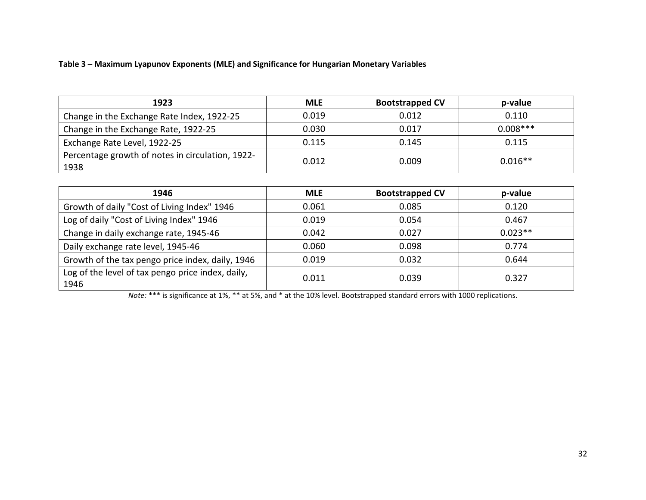# **Table 3 – Maximum Lyapunov Exponents (MLE) and Significance for Hungarian Monetary Variables**

| 1923                                                     | <b>MLE</b> | <b>Bootstrapped CV</b> | p-value    |
|----------------------------------------------------------|------------|------------------------|------------|
| Change in the Exchange Rate Index, 1922-25               | 0.019      | 0.012                  | 0.110      |
| Change in the Exchange Rate, 1922-25                     | 0.030      | 0.017                  | $0.008***$ |
| Exchange Rate Level, 1922-25                             | 0.115      | 0.145                  | 0.115      |
| Percentage growth of notes in circulation, 1922-<br>1938 | 0.012      | 0.009                  | $0.016**$  |

| 1946                                                      | <b>MLE</b> | <b>Bootstrapped CV</b> | p-value   |
|-----------------------------------------------------------|------------|------------------------|-----------|
| Growth of daily "Cost of Living Index" 1946               | 0.061      | 0.085                  | 0.120     |
| Log of daily "Cost of Living Index" 1946                  | 0.019      | 0.054                  | 0.467     |
| Change in daily exchange rate, 1945-46                    | 0.042      | 0.027                  | $0.023**$ |
| Daily exchange rate level, 1945-46                        | 0.060      | 0.098                  | 0.774     |
| Growth of the tax pengo price index, daily, 1946          | 0.019      | 0.032                  | 0.644     |
| Log of the level of tax pengo price index, daily,<br>1946 | 0.011      | 0.039                  | 0.327     |

*Note:* \*\*\* is significance at 1%, \*\* at 5%, and \* at the 10% level. Bootstrapped standard errors with 1000 replications.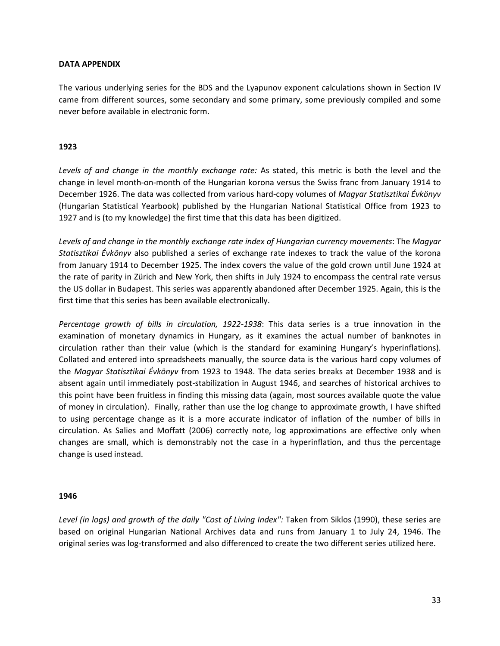### **DATA APPENDIX**

The various underlying series for the BDS and the Lyapunov exponent calculations shown in Section IV came from different sources, some secondary and some primary, some previously compiled and some never before available in electronic form.

### **1923**

*Levels of and change in the monthly exchange rate:* As stated, this metric is both the level and the change in level month-on-month of the Hungarian korona versus the Swiss franc from January 1914 to December 1926. The data was collected from various hard-copy volumes of *Magyar Statisztikai Évkönyv* (Hungarian Statistical Yearbook) published by the Hungarian National Statistical Office from 1923 to 1927 and is (to my knowledge) the first time that this data has been digitized.

*Levels of and change in the monthly exchange rate index of Hungarian currency movements*: The *Magyar Statisztikai Évkönyv* also published a series of exchange rate indexes to track the value of the korona from January 1914 to December 1925. The index covers the value of the gold crown until June 1924 at the rate of parity in Zürich and New York, then shifts in July 1924 to encompass the central rate versus the US dollar in Budapest. This series was apparently abandoned after December 1925. Again, this is the first time that this series has been available electronically.

*Percentage growth of bills in circulation, 1922-1938*: This data series is a true innovation in the examination of monetary dynamics in Hungary, as it examines the actual number of banknotes in circulation rather than their value (which is the standard for examining Hungary's hyperinflations). Collated and entered into spreadsheets manually, the source data is the various hard copy volumes of the *Magyar Statisztikai Évkönyv* from 1923 to 1948. The data series breaks at December 1938 and is absent again until immediately post-stabilization in August 1946, and searches of historical archives to this point have been fruitless in finding this missing data (again, most sources available quote the value of money in circulation). Finally, rather than use the log change to approximate growth, I have shifted to using percentage change as it is a more accurate indicator of inflation of the number of bills in circulation. As Salies and Moffatt (2006) correctly note, log approximations are effective only when changes are small, which is demonstrably not the case in a hyperinflation, and thus the percentage change is used instead.

### **1946**

Level (in logs) and growth of the daily "Cost of Living Index": Taken from Siklos (1990), these series are based on original Hungarian National Archives data and runs from January 1 to July 24, 1946. The original series was log-transformed and also differenced to create the two different series utilized here.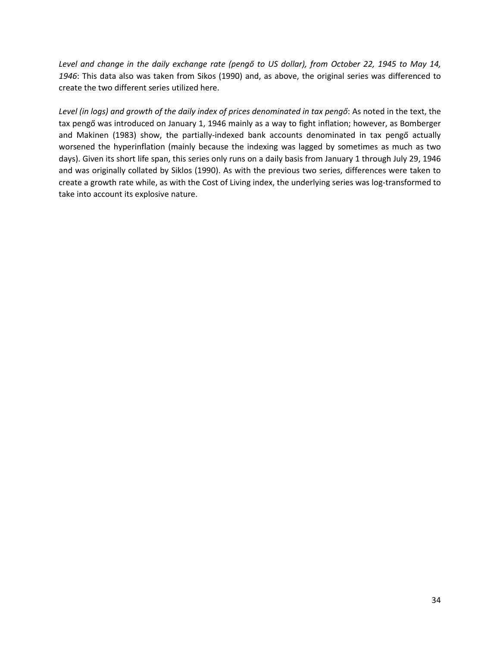*Level and change in the daily exchange rate (pengő to US dollar), from October 22, 1945 to May 14, 1946*: This data also was taken from Sikos (1990) and, as above, the original series was differenced to create the two different series utilized here.

*Level (in logs) and growth of the daily index of prices denominated in tax pengő*: As noted in the text, the tax pengő was introduced on January 1, 1946 mainly as a way to fight inflation; however, as Bomberger and Makinen (1983) show, the partially-indexed bank accounts denominated in tax pengő actually worsened the hyperinflation (mainly because the indexing was lagged by sometimes as much as two days). Given its short life span, this series only runs on a daily basis from January 1 through July 29, 1946 and was originally collated by Siklos (1990). As with the previous two series, differences were taken to create a growth rate while, as with the Cost of Living index, the underlying series was log-transformed to take into account its explosive nature.